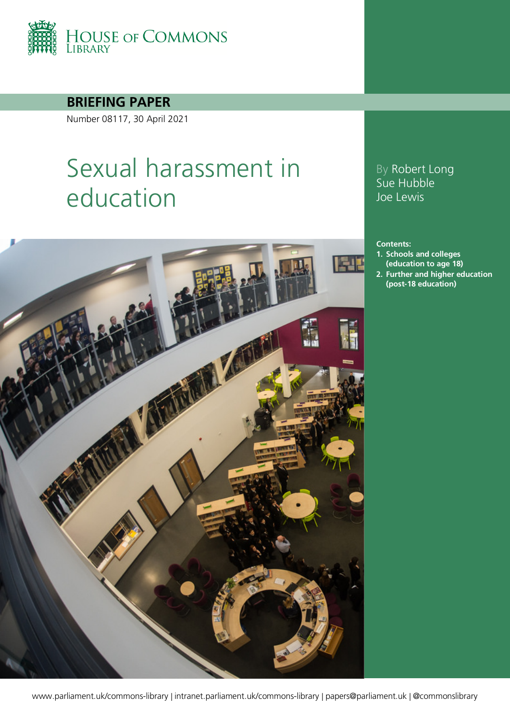

**BRIEFING PAPER**

Number 08117, 30 April 2021

# Sexual harassment in education



## By Robert Long Sue Hubble Joe Lewis

#### **Contents:**

- **1. [Schools and colleges](#page-4-0)  [\(education to age 18\)](#page-4-0)**
- **2. [Further and higher education](#page-14-0)  [\(post-18 education\)](#page-14-0)**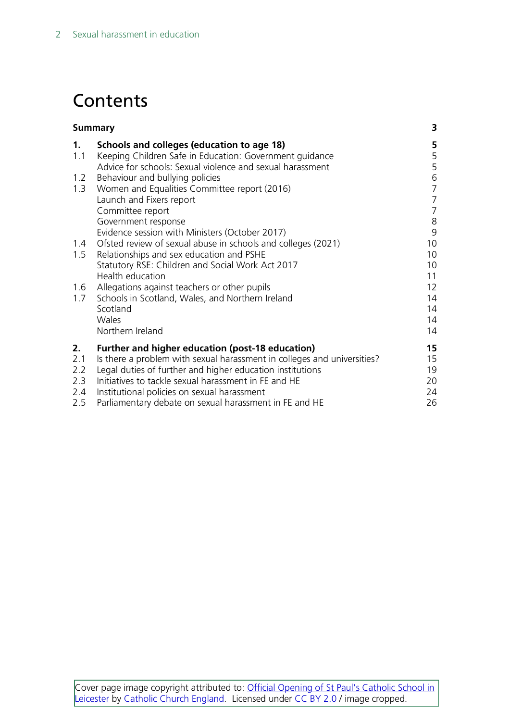# **Contents**

| <b>Summary</b> |                                                                                                                   | 3              |
|----------------|-------------------------------------------------------------------------------------------------------------------|----------------|
| 1.<br>1.1      | Schools and colleges (education to age 18)<br>Keeping Children Safe in Education: Government guidance             | 5<br>5         |
|                | Advice for schools: Sexual violence and sexual harassment                                                         | 5              |
| 1.2            | Behaviour and bullying policies                                                                                   | $\sqrt{6}$     |
| 1.3            | Women and Equalities Committee report (2016)                                                                      | $\overline{7}$ |
|                | Launch and Fixers report                                                                                          | $\overline{7}$ |
|                | Committee report                                                                                                  | $\overline{7}$ |
|                | Government response                                                                                               | $\,8\,$        |
| 1.4            | Evidence session with Ministers (October 2017)<br>Ofsted review of sexual abuse in schools and colleges (2021)    | 9<br>10        |
| 1.5            | Relationships and sex education and PSHE                                                                          | 10             |
|                | Statutory RSE: Children and Social Work Act 2017                                                                  | 10             |
|                | Health education                                                                                                  | 11             |
| 1.6            | Allegations against teachers or other pupils                                                                      | 12             |
| 1.7            | Schools in Scotland, Wales, and Northern Ireland                                                                  | 14             |
|                | Scotland                                                                                                          | 14             |
|                | Wales<br>Northern Ireland                                                                                         | 14             |
|                |                                                                                                                   | 14             |
| 2.             | <b>Further and higher education (post-18 education)</b>                                                           | 15             |
| 2.1            | Is there a problem with sexual harassment in colleges and universities?                                           | 15             |
| 2.2<br>2.3     | Legal duties of further and higher education institutions<br>Initiatives to tackle sexual harassment in FE and HE | 19<br>20       |
| 2.4            | Institutional policies on sexual harassment                                                                       | 24             |
| 2.5            | Parliamentary debate on sexual harassment in FE and HE                                                            | 26             |
|                |                                                                                                                   |                |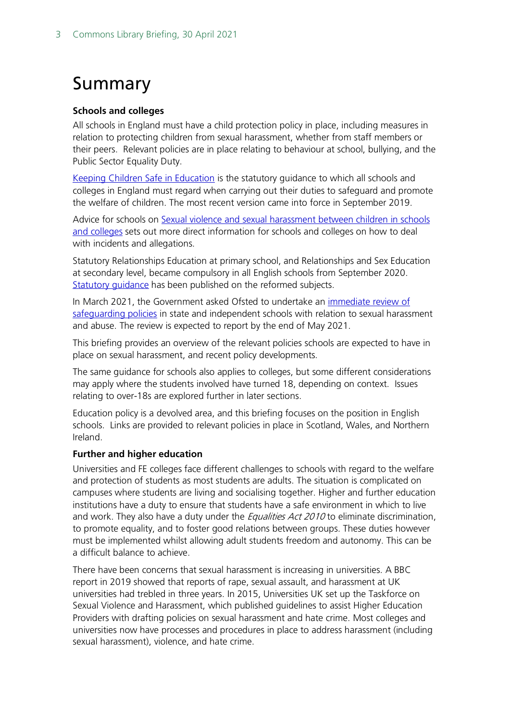# <span id="page-2-0"></span>Summary

#### **Schools and colleges**

All schools in England must have a child protection policy in place, including measures in relation to protecting children from sexual harassment, whether from staff members or their peers. Relevant policies are in place relating to behaviour at school, bullying, and the Public Sector Equality Duty.

[Keeping Children Safe in Education](https://www.gov.uk/government/publications/keeping-children-safe-in-education--2) is the statutory guidance to which all schools and colleges in England must regard when carrying out their duties to safeguard and promote the welfare of children. The most recent version came into force in September 2019.

Advice for schools on Sexual violence and sexual harassment between children in schools [and colleges](https://www.gov.uk/government/publications/sexual-violence-and-sexual-harassment-between-children-in-schools-and-colleges) sets out more direct information for schools and colleges on how to deal with incidents and allegations.

Statutory Relationships Education at primary school, and Relationships and Sex Education at secondary level, became compulsory in all English schools from September 2020. [Statutory guidance](https://www.gov.uk/government/publications/relationships-education-relationships-and-sex-education-rse-and-health-education) has been published on the reformed subjects.

In March 2021, the Government asked Ofsted to undertake an immediate review of [safeguarding policies](https://www.gov.uk/government/news/government-launches-review-into-sexual-abuse-in-schools) in state and independent schools with relation to sexual harassment and abuse. The review is expected to report by the end of May 2021.

This briefing provides an overview of the relevant policies schools are expected to have in place on sexual harassment, and recent policy developments.

The same guidance for schools also applies to colleges, but some different considerations may apply where the students involved have turned 18, depending on context. Issues relating to over-18s are explored further in later sections.

Education policy is a devolved area, and this briefing focuses on the position in English schools. Links are provided to relevant policies in place in Scotland, Wales, and Northern Ireland.

#### **Further and higher education**

Universities and FE colleges face different challenges to schools with regard to the welfare and protection of students as most students are adults. The situation is complicated on campuses where students are living and socialising together. Higher and further education institutions have a duty to ensure that students have a safe environment in which to live and work. They also have a duty under the *Equalities Act 2010* to eliminate discrimination, to promote equality, and to foster good relations between groups. These duties however must be implemented whilst allowing adult students freedom and autonomy. This can be a difficult balance to achieve.

There have been concerns that sexual harassment is increasing in universities. A BBC report in 2019 showed that reports of rape, sexual assault, and harassment at UK universities had trebled in three years. In 2015, Universities UK set up the Taskforce on Sexual Violence and Harassment, which published guidelines to assist Higher Education Providers with drafting policies on sexual harassment and hate crime. Most colleges and universities now have processes and procedures in place to address harassment (including sexual harassment), violence, and hate crime.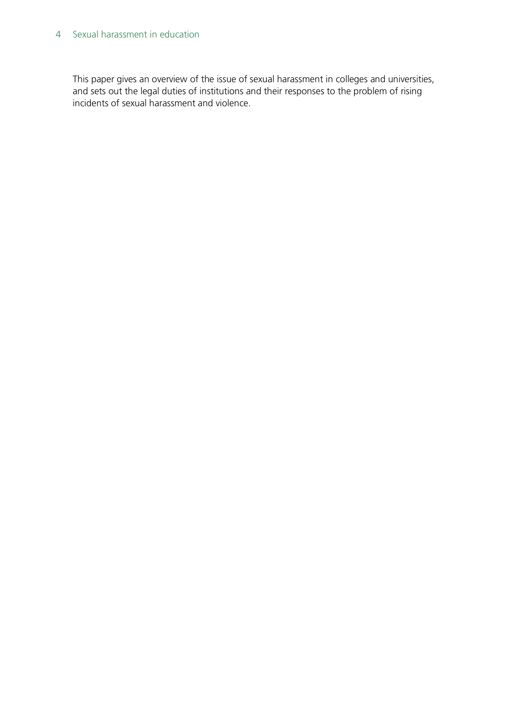#### 4 Sexual harassment in education

This paper gives an overview of the issue of sexual harassment in colleges and universities, and sets out the legal duties of institutions and their responses to the problem of rising incidents of sexual harassment and violence.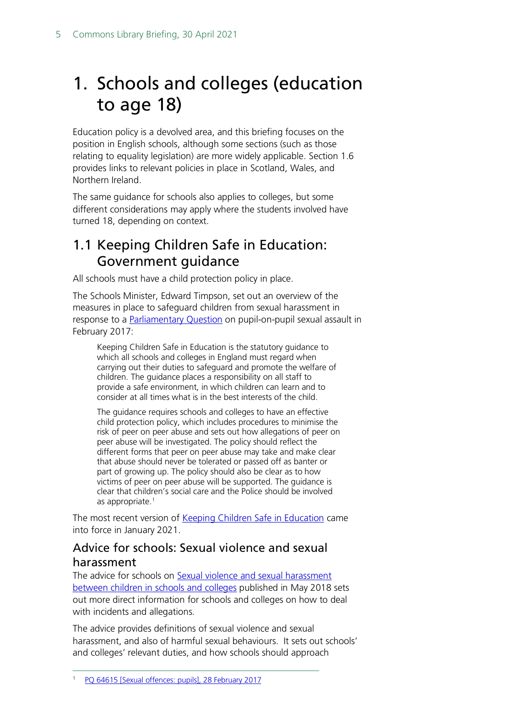# <span id="page-4-0"></span>1. Schools and colleges (education to age 18)

Education policy is a devolved area, and this briefing focuses on the position in English schools, although some sections (such as those relating to equality legislation) are more widely applicable. Section 1.6 provides links to relevant policies in place in Scotland, Wales, and Northern Ireland.

The same guidance for schools also applies to colleges, but some different considerations may apply where the students involved have turned 18, depending on context.

# <span id="page-4-1"></span>1.1 Keeping Children Safe in Education: Government guidance

All schools must have a child protection policy in place.

The Schools Minister, Edward Timpson, set out an overview of the measures in place to safeguard children from sexual harassment in response to a **Parliamentary Question** on pupil-on-pupil sexual assault in February 2017:

Keeping Children Safe in Education is the statutory guidance to which all schools and colleges in England must regard when carrying out their duties to safeguard and promote the welfare of children. The guidance places a responsibility on all staff to provide a safe environment, in which children can learn and to consider at all times what is in the best interests of the child.

The guidance requires schools and colleges to have an effective child protection policy, which includes procedures to minimise the risk of peer on peer abuse and sets out how allegations of peer on peer abuse will be investigated. The policy should reflect the different forms that peer on peer abuse may take and make clear that abuse should never be tolerated or passed off as banter or part of growing up. The policy should also be clear as to how victims of peer on peer abuse will be supported. The guidance is clear that children's social care and the Police should be involved as appropriate.<sup>[1](#page-4-3)</sup>

The most recent version of [Keeping Children Safe in Education](https://www.gov.uk/government/publications/keeping-children-safe-in-education--2) came into force in January 2021.

## <span id="page-4-2"></span>Advice for schools: Sexual violence and sexual harassment

The advice for schools on [Sexual violence and sexual harassment](https://www.gov.uk/government/publications/sexual-violence-and-sexual-harassment-between-children-in-schools-and-colleges)  [between children in schools and colleges](https://www.gov.uk/government/publications/sexual-violence-and-sexual-harassment-between-children-in-schools-and-colleges) published in May 2018 sets out more direct information for schools and colleges on how to deal with incidents and allegations.

<span id="page-4-3"></span>The advice provides definitions of sexual violence and sexual harassment, and also of harmful sexual behaviours. It sets out schools' and colleges' relevant duties, and how schools should approach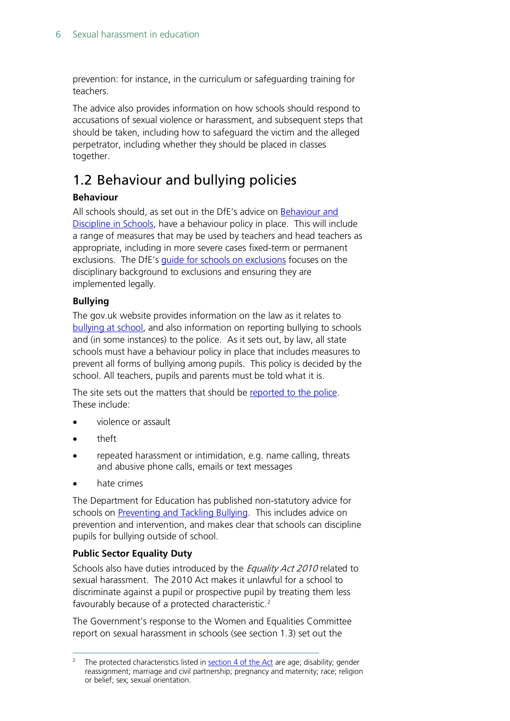prevention: for instance, in the curriculum or safeguarding training for teachers.

The advice also provides information on how schools should respond to accusations of sexual violence or harassment, and subsequent steps that should be taken, including how to safeguard the victim and the alleged perpetrator, including whether they should be placed in classes together.

# <span id="page-5-0"></span>1.2 Behaviour and bullying policies

### **Behaviour**

All schools should, as set out in the DfE's advice on [Behaviour and](https://www.gov.uk/government/publications/behaviour-and-discipline-in-schools)  [Discipline in Schools,](https://www.gov.uk/government/publications/behaviour-and-discipline-in-schools) have a behaviour policy in place. This will include a range of measures that may be used by teachers and head teachers as appropriate, including in more severe cases fixed-term or permanent exclusions. The DfE's [guide for schools on exclusions](https://www.gov.uk/government/publications/school-exclusion) focuses on the disciplinary background to exclusions and ensuring they are implemented legally.

#### **Bullying**

The gov.uk website provides information on the law as it relates to [bullying at school,](https://www.gov.uk/bullying-at-school/the-law) and also information on reporting bullying to schools and (in some instances) to the police. As it sets out, by law, all state schools must have a behaviour policy in place that includes measures to prevent all forms of bullying among pupils. This policy is decided by the school. All teachers, pupils and parents must be told what it is.

The site sets out the matters that should be [reported to the police.](https://www.gov.uk/bullying-at-school/the-law) These include:

- violence or assault
- theft
- repeated harassment or intimidation, e.g. name calling, threats and abusive phone calls, emails or text messages
- hate crimes

The Department for Education has published non-statutory advice for schools on [Preventing and Tackling Bullying.](https://www.gov.uk/government/publications/preventing-and-tackling-bullying) This includes advice on prevention and intervention, and makes clear that schools can discipline pupils for bullying outside of school.

#### **Public Sector Equality Duty**

Schools also have duties introduced by the *Equality Act 2010* related to sexual harassment. The 2010 Act makes it unlawful for a school to discriminate against a pupil or prospective pupil by treating them less favourably because of a protected characteristic.<sup>[2](#page-5-1)</sup>

The Government's response to the Women and Equalities Committee report on sexual harassment in schools (see section 1.3) set out the

<span id="page-5-1"></span><sup>&</sup>lt;sup>2</sup> The protected characteristics listed in [section 4 of the Act](http://www.legislation.gov.uk/ukpga/2010/15/section/4) are age; disability; gender reassignment; marriage and civil partnership; pregnancy and maternity; race; religion or belief; sex; sexual orientation.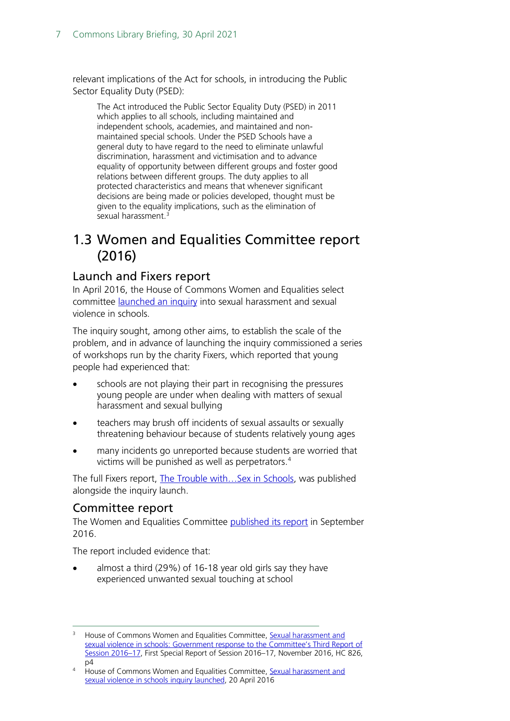relevant implications of the Act for schools, in introducing the Public Sector Equality Duty (PSED):

The Act introduced the Public Sector Equality Duty (PSED) in 2011 which applies to all schools, including maintained and independent schools, academies, and maintained and nonmaintained special schools. Under the PSED Schools have a general duty to have regard to the need to eliminate unlawful discrimination, harassment and victimisation and to advance equality of opportunity between different groups and foster good relations between different groups. The duty applies to all protected characteristics and means that whenever significant decisions are being made or policies developed, thought must be given to the equality implications, such as the elimination of sexual harassment.<sup>3</sup>

## <span id="page-6-0"></span>1.3 Women and Equalities Committee report (2016)

## <span id="page-6-1"></span>Launch and Fixers report

In April 2016, the House of Commons Women and Equalities select committee [launched an inquiry](http://www.parliament.uk/business/committees/committees-a-z/commons-select/women-and-equalities-committee/inquiries/parliament-2015/inquiry1/) into sexual harassment and sexual violence in schools.

The inquiry sought, among other aims, to establish the scale of the problem, and in advance of launching the inquiry commissioned a series of workshops run by the charity Fixers, which reported that young people had experienced that:

- schools are not playing their part in recognising the pressures young people are under when dealing with matters of sexual harassment and sexual bullying
- teachers may brush off incidents of sexual assaults or sexually threatening behaviour because of students relatively young ages
- many incidents go unreported because students are worried that victims will be punished as well as perpetrators.<sup>[4](#page-6-4)</sup>

The full Fixers report, The Trouble with... Sex in Schools, was published alongside the inquiry launch.

## <span id="page-6-2"></span>Committee report

The Women and Equalities Committee [published its report](http://www.parliament.uk/business/committees/committees-a-z/commons-select/women-and-equalities-committee/news-parliament-2015/sexual-harassment-and-violence-in-schools-report-published-16-17/) in September 2016.

The report included evidence that:

• almost a third (29%) of 16-18 year old girls say they have experienced unwanted sexual touching at school

<span id="page-6-3"></span><sup>3</sup> House of Commons Women and Equalities Committee, [Sexual harassment and](https://www.publications.parliament.uk/pa/cm201617/cmselect/cmwomeq/826/826.pdf)  [sexual violence in schools: Government response to the Committee's Third Report of](https://www.publications.parliament.uk/pa/cm201617/cmselect/cmwomeq/826/826.pdf)  [Session 2016–17,](https://www.publications.parliament.uk/pa/cm201617/cmselect/cmwomeq/826/826.pdf) First Special Report of Session 2016–17, November 2016, HC 826, p4

<span id="page-6-4"></span><sup>4</sup> House of Commons Women and Equalities Committee, [Sexual harassment and](http://www.parliament.uk/business/committees/committees-a-z/commons-select/women-and-equalities-committee/news-parliament-2015/sexual-harassment-and-sexual-violence-in-schools-launch-15-16/)  [sexual violence in schools inquiry launched,](http://www.parliament.uk/business/committees/committees-a-z/commons-select/women-and-equalities-committee/news-parliament-2015/sexual-harassment-and-sexual-violence-in-schools-launch-15-16/) 20 April 2016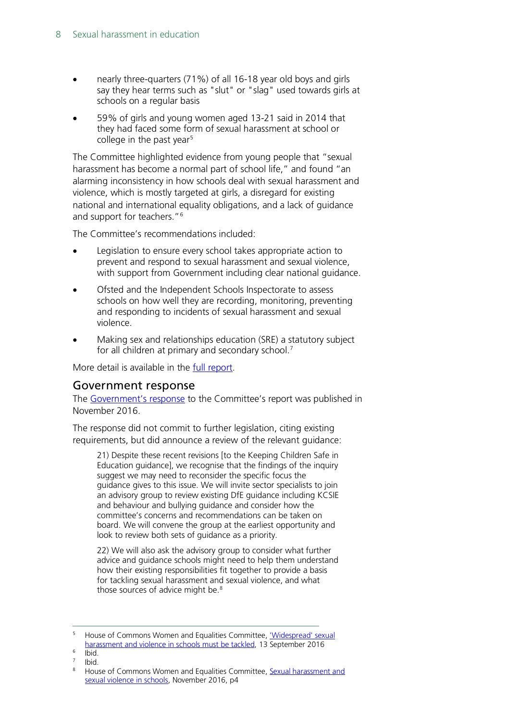- nearly three-quarters (71%) of all 16-18 year old boys and girls say they hear terms such as "slut" or "slag" used towards girls at schools on a regular basis
- 59% of girls and young women aged 13-21 said in 2014 that they had faced some form of sexual harassment at school or college in the past year<sup>[5](#page-7-1)</sup>

The Committee highlighted evidence from young people that "sexual harassment has become a normal part of school life," and found "an alarming inconsistency in how schools deal with sexual harassment and violence, which is mostly targeted at girls, a disregard for existing national and international equality obligations, and a lack of guidance and support for teachers."[6](#page-7-2)

The Committee's recommendations included:

- Legislation to ensure every school takes appropriate action to prevent and respond to sexual harassment and sexual violence, with support from Government including clear national guidance.
- Ofsted and the Independent Schools Inspectorate to assess schools on how well they are recording, monitoring, preventing and responding to incidents of sexual harassment and sexual violence.
- Making sex and relationships education (SRE) a statutory subject for all children at primary and secondary school.<sup>[7](#page-7-3)</sup>

More detail is available in the [full report.](https://www.publications.parliament.uk/pa/cm201617/cmselect/cmwomeq/91/91.pdf)

### <span id="page-7-0"></span>Government response

The [Government's response](https://www.publications.parliament.uk/pa/cm201617/cmselect/cmwomeq/826/826.pdf) to the Committee's report was published in November 2016.

The response did not commit to further legislation, citing existing requirements, but did announce a review of the relevant guidance:

21) Despite these recent revisions [to the Keeping Children Safe in Education guidance], we recognise that the findings of the inquiry suggest we may need to reconsider the specific focus the guidance gives to this issue. We will invite sector specialists to join an advisory group to review existing DfE guidance including KCSIE and behaviour and bullying guidance and consider how the committee's concerns and recommendations can be taken on board. We will convene the group at the earliest opportunity and look to review both sets of guidance as a priority.

22) We will also ask the advisory group to consider what further advice and guidance schools might need to help them understand how their existing responsibilities fit together to provide a basis for tackling sexual harassment and sexual violence, and what those sources of advice might be.<sup>[8](#page-7-4)</sup>

<span id="page-7-1"></span><sup>5</sup> House of Commons Women and Equalities Committee, ['Widespread' sexual](http://www.parliament.uk/business/committees/committees-a-z/commons-select/women-and-equalities-committee/news-parliament-2015/sexual-harassment-and-violence-in-schools-report-published-16-17/)  [harassment and violence in schools must be tackled,](http://www.parliament.uk/business/committees/committees-a-z/commons-select/women-and-equalities-committee/news-parliament-2015/sexual-harassment-and-violence-in-schools-report-published-16-17/) 13 September 2016

<span id="page-7-2"></span> $6$  Ibid.

<span id="page-7-4"></span><span id="page-7-3"></span> $\frac{7}{8}$  Ibid.

House of Commons Women and Equalities Committee, Sexual harassment and [sexual violence in schools,](https://www.publications.parliament.uk/pa/cm201617/cmselect/cmwomeq/826/826.pdf) November 2016, p4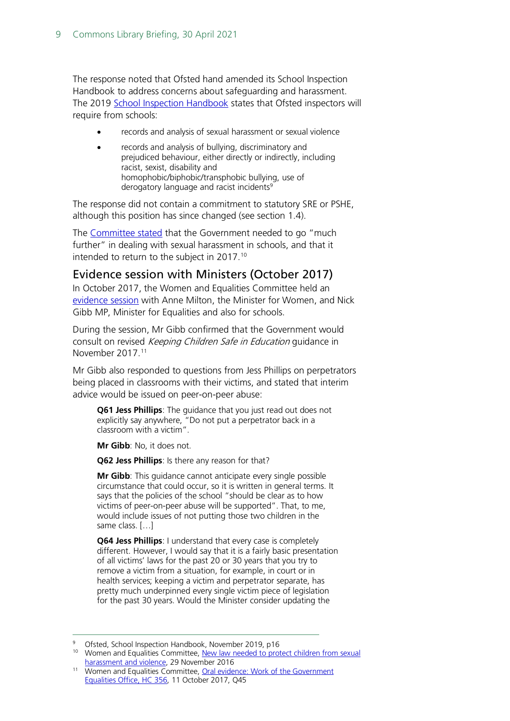The response noted that Ofsted hand amended its School Inspection Handbook to address concerns about safeguarding and harassment. The 2019 [School Inspection Handbook](https://www.gov.uk/government/publications/school-inspection-handbook-eif) states that Ofsted inspectors will require from schools:

- records and analysis of sexual harassment or sexual violence
- records and analysis of bullying, discriminatory and prejudiced behaviour, either directly or indirectly, including racist, sexist, disability and homophobic/biphobic/transphobic bullying, use of derogatory language and racist incidents<sup>9</sup>

The response did not contain a commitment to statutory SRE or PSHE, although this position has since changed (see section 1.4).

The [Committee stated](http://www.parliament.uk/business/committees/committees-a-z/commons-select/women-and-equalities-committee/news-parliament-2015/sexual-harassment-and-sexual-violence-in-schools-government-response-published-16-17/) that the Government needed to go "much further" in dealing with sexual harassment in schools, and that it intended to return to the subject in 2017.<sup>[10](#page-8-2)</sup>

### <span id="page-8-0"></span>Evidence session with Ministers (October 2017)

In October 2017, the Women and Equalities Committee held an [evidence session](http://www.parliament.uk/business/committees/committees-a-z/commons-select/women-and-equalities-committee/inquiries/parliament-2017/inquiry/) with Anne Milton, the Minister for Women, and Nick Gibb MP, Minister for Equalities and also for schools.

During the session, Mr Gibb confirmed that the Government would consult on revised Keeping Children Safe in Education quidance in November 2017<sup>11</sup>

Mr Gibb also responded to questions from Jess Phillips on perpetrators being placed in classrooms with their victims, and stated that interim advice would be issued on peer-on-peer abuse:

**Q61 Jess Phillips**: The guidance that you just read out does not explicitly say anywhere, "Do not put a perpetrator back in a classroom with a victim".

**Mr Gibb**: No, it does not.

**Q62 Jess Phillips**: Is there any reason for that?

**Mr Gibb**: This guidance cannot anticipate every single possible circumstance that could occur, so it is written in general terms. It says that the policies of the school "should be clear as to how victims of peer-on-peer abuse will be supported". That, to me, would include issues of not putting those two children in the same class. […]

**Q64 Jess Phillips**: I understand that every case is completely different. However, I would say that it is a fairly basic presentation of all victims' laws for the past 20 or 30 years that you try to remove a victim from a situation, for example, in court or in health services; keeping a victim and perpetrator separate, has pretty much underpinned every single victim piece of legislation for the past 30 years. Would the Minister consider updating the

<sup>9</sup> Ofsted, School Inspection Handbook, November 2019, p16

<span id="page-8-2"></span><span id="page-8-1"></span><sup>&</sup>lt;sup>10</sup> Women and Equalities Committee, <u>New law needed to protect children from sexual</u> [harassment and violence,](http://www.parliament.uk/business/committees/committees-a-z/commons-select/women-and-equalities-committee/news-parliament-2015/sexual-harassment-and-sexual-violence-in-schools-government-response-published-16-17/) 29 November 2016

<span id="page-8-3"></span><sup>11</sup> Women and Equalities Committee, [Oral evidence: Work of the Government](http://data.parliament.uk/writtenevidence/committeeevidence.svc/evidencedocument/women-and-equalities-committee/work-of-the-government-equalities-office/oral/71285.html)  [Equalities Office, HC 356,](http://data.parliament.uk/writtenevidence/committeeevidence.svc/evidencedocument/women-and-equalities-committee/work-of-the-government-equalities-office/oral/71285.html) 11 October 2017, Q45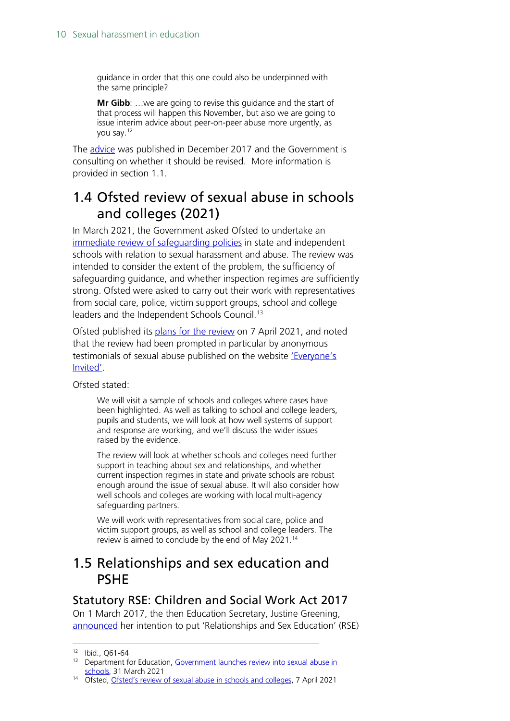guidance in order that this one could also be underpinned with the same principle?

**Mr Gibb**: …we are going to revise this guidance and the start of that process will happen this November, but also we are going to issue interim advice about peer-on-peer abuse more urgently, as you say[.12](#page-9-3)

The [advice](https://www.gov.uk/government/publications/sexual-violence-and-sexual-harassment-between-children-in-schools-and-colleges) was published in December 2017 and the Government is consulting on whether it should be revised. More information is provided in section 1.1.

# <span id="page-9-0"></span>1.4 Ofsted review of sexual abuse in schools and colleges (2021)

In March 2021, the Government asked Ofsted to undertake an [immediate review of safeguarding policies](https://www.gov.uk/government/news/government-launches-review-into-sexual-abuse-in-schools) in state and independent schools with relation to sexual harassment and abuse. The review was intended to consider the extent of the problem, the sufficiency of safeguarding guidance, and whether inspection regimes are sufficiently strong. Ofsted were asked to carry out their work with representatives from social care, police, victim support groups, school and college leaders and the Independent Schools Council.[13](#page-9-4)

Ofsted published its [plans for the review](https://www.gov.uk/government/news/ofsteds-review-of-sexual-abuse-in-schools-and-colleges) on 7 April 2021, and noted that the review had been prompted in particular by anonymous testimonials of sexual abuse published on the website ['Everyone's](https://www.everyonesinvited.uk/)  [Invited'.](https://www.everyonesinvited.uk/)

Ofsted stated:

We will visit a sample of schools and colleges where cases have been highlighted. As well as talking to school and college leaders, pupils and students, we will look at how well systems of support and response are working, and we'll discuss the wider issues raised by the evidence.

The review will look at whether schools and colleges need further support in teaching about sex and relationships, and whether current inspection regimes in state and private schools are robust enough around the issue of sexual abuse. It will also consider how well schools and colleges are working with local multi-agency safeguarding partners.

We will work with representatives from social care, police and victim support groups, as well as school and college leaders. The review is aimed to conclude by the end of May 2021.[14](#page-9-5)

## <span id="page-9-1"></span>1.5 Relationships and sex education and PSHE

### <span id="page-9-2"></span>Statutory RSE: Children and Social Work Act 2017

On 1 March 2017, the then Education Secretary, Justine Greening, [announced](http://www.parliament.uk/business/publications/written-questions-answers-statements/written-statement/Commons/2017-03-01/HCWS509/) her intention to put 'Relationships and Sex Education' (RSE)

<span id="page-9-4"></span><span id="page-9-3"></span><sup>12</sup> Ibid., Q61-64

<sup>13</sup> Department for Education, Government launches review into sexual abuse in [schools,](https://www.gov.uk/government/news/government-launches-review-into-sexual-abuse-in-schools) 31 March 2021

<span id="page-9-5"></span><sup>14</sup> Ofsted, [Ofsted's review of sexual abuse in schools and colleges,](https://www.gov.uk/government/news/ofsteds-review-of-sexual-abuse-in-schools-and-colleges) 7 April 2021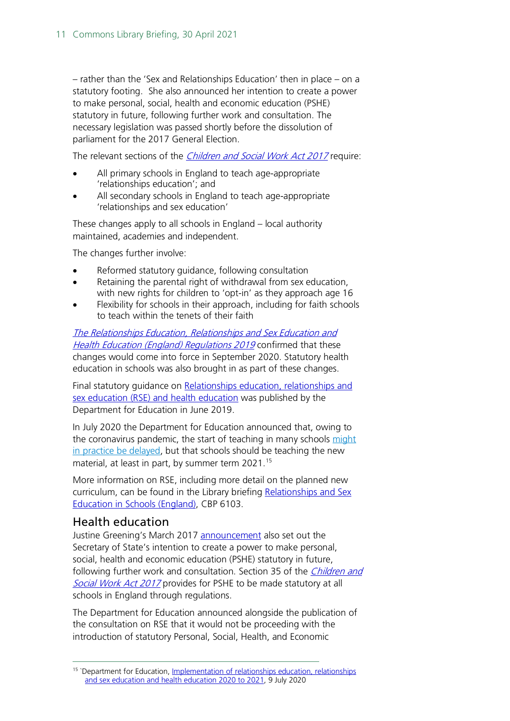– rather than the 'Sex and Relationships Education' then in place – on a statutory footing. She also announced her intention to create a power to make personal, social, health and economic education (PSHE) statutory in future, following further work and consultation. The necessary legislation was passed shortly before the dissolution of parliament for the 2017 General Election.

The relevant sections of the *[Children and Social Work Act 2017](http://www.legislation.gov.uk/ukpga/2017/16/contents/enacted)* require:

- All primary schools in England to teach age-appropriate 'relationships education'; and
- All secondary schools in England to teach age-appropriate 'relationships and sex education'

These changes apply to all schools in England – local authority maintained, academies and independent.

The changes further involve:

- Reformed statutory quidance, following consultation
- Retaining the parental right of withdrawal from sex education, with new rights for children to 'opt-in' as they approach age 16
- Flexibility for schools in their approach, including for faith schools to teach within the tenets of their faith

[The Relationships Education, Relationships and Sex Education and](http://www.legislation.gov.uk/uksi/2019/924/introduction/made)  [Health Education \(England\) Regulations 2019](http://www.legislation.gov.uk/uksi/2019/924/introduction/made) confirmed that these changes would come into force in September 2020. Statutory health education in schools was also brought in as part of these changes.

Final statutory guidance on [Relationships education, relationships and](https://www.gov.uk/government/publications/relationships-education-relationships-and-sex-education-rse-and-health-education)  [sex education \(RSE\) and health education](https://www.gov.uk/government/publications/relationships-education-relationships-and-sex-education-rse-and-health-education) was published by the Department for Education in June 2019.

In July 2020 the Department for Education announced that, owing to the coronavirus pandemic, the start of teaching in many schools [might](https://www.gov.uk/government/publications/relationships-education-relationships-and-sex-education-rse-and-health-education/implementation-of-relationships-education-relationships-and-sex-education-and-health-education-2020-to-2021)  [in practice be delayed,](https://www.gov.uk/government/publications/relationships-education-relationships-and-sex-education-rse-and-health-education/implementation-of-relationships-education-relationships-and-sex-education-and-health-education-2020-to-2021) but that schools should be teaching the new material, at least in part, by summer term 2021.<sup>15</sup>

More information on RSE, including more detail on the planned new curriculum, can be found in the Library briefing [Relationships and Sex](https://researchbriefings.parliament.uk/ResearchBriefing/Summary/SN06103) [Education in Schools \(England\),](https://researchbriefings.parliament.uk/ResearchBriefing/Summary/SN06103) CBP 6103.

### <span id="page-10-0"></span>Health education

Justine Greening's March 2017 [announcement](http://www.parliament.uk/business/publications/written-questions-answers-statements/written-statement/Commons/2017-03-01/HCWS509/) also set out the Secretary of State's intention to create a power to make personal, social, health and economic education (PSHE) statutory in future, following further work and consultation. Section 35 of the *Children and* [Social Work Act 2017](http://www.legislation.gov.uk/ukpga/2017/16/section/35/enacted) provides for PSHE to be made statutory at all schools in England through regulations.

The Department for Education announced alongside the publication of the consultation on RSE that it would not be proceeding with the introduction of statutory Personal, Social, Health, and Economic

<span id="page-10-1"></span><sup>&</sup>lt;sup>15</sup> `Department for Education, Implementation of relationships education, relationships [and sex education and health education 2020 to 2021,](https://www.gov.uk/government/publications/relationships-education-relationships-and-sex-education-rse-and-health-education/implementation-of-relationships-education-relationships-and-sex-education-and-health-education-2020-to-2021) 9 July 2020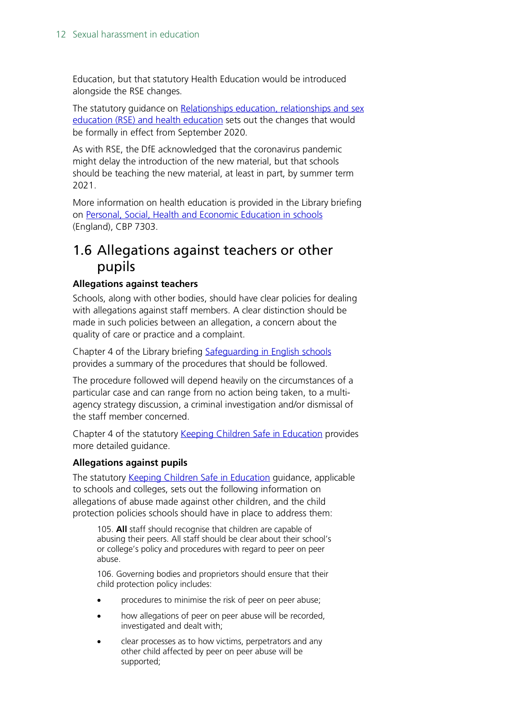Education, but that statutory Health Education would be introduced alongside the RSE changes.

The statutory guidance on Relationships education, relationships and sex [education \(RSE\) and health education](https://www.gov.uk/government/publications/relationships-education-relationships-and-sex-education-rse-and-health-education) sets out the changes that would be formally in effect from September 2020.

As with RSE, the DfE acknowledged that the coronavirus pandemic might delay the introduction of the new material, but that schools should be teaching the new material, at least in part, by summer term 2021.

More information on health education is provided in the Library briefing on [Personal, Social, Health and Economic Education in schools](https://commonslibrary.parliament.uk/research-briefings/cbp-7303/) (England), CBP 7303.

# <span id="page-11-0"></span>1.6 Allegations against teachers or other pupils

#### **Allegations against teachers**

Schools, along with other bodies, should have clear policies for dealing with allegations against staff members. A clear distinction should be made in such policies between an allegation, a concern about the quality of care or practice and a complaint.

Chapter 4 of the Library briefing [Safeguarding in English schools](http://researchbriefings.parliament.uk/ResearchBriefing/Summary/CBP-8023) provides a summary of the procedures that should be followed.

The procedure followed will depend heavily on the circumstances of a particular case and can range from no action being taken, to a multiagency strategy discussion, a criminal investigation and/or dismissal of the staff member concerned.

Chapter 4 of the statutory [Keeping Children Safe in Education](https://www.gov.uk/government/publications/keeping-children-safe-in-education--2) provides more detailed guidance.

#### **Allegations against pupils**

The statutory [Keeping Children Safe in Education](https://www.gov.uk/government/publications/keeping-children-safe-in-education--2) guidance, applicable to schools and colleges, sets out the following information on allegations of abuse made against other children, and the child protection policies schools should have in place to address them:

105. **All** staff should recognise that children are capable of abusing their peers. All staff should be clear about their school's or college's policy and procedures with regard to peer on peer abuse.

106. Governing bodies and proprietors should ensure that their child protection policy includes:

- procedures to minimise the risk of peer on peer abuse;
- how allegations of peer on peer abuse will be recorded, investigated and dealt with;
- clear processes as to how victims, perpetrators and any other child affected by peer on peer abuse will be supported;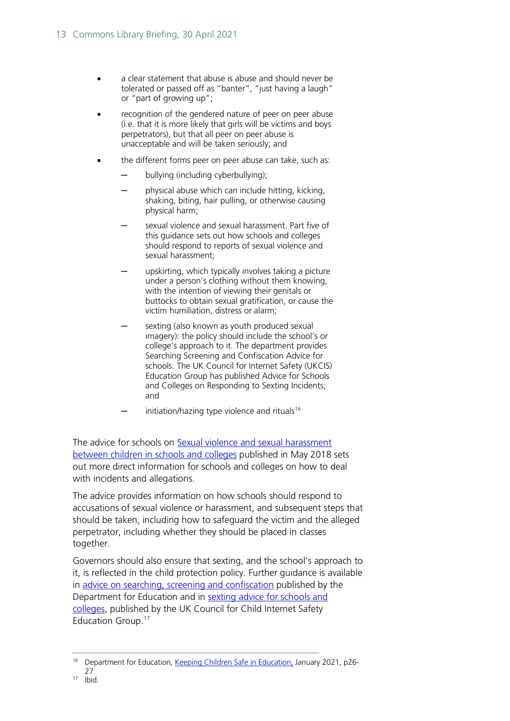- a clear statement that abuse is abuse and should never be tolerated or passed off as "banter", "just having a laugh" or "part of growing up";
- recognition of the gendered nature of peer on peer abuse (i.e. that it is more likely that girls will be victims and boys perpetrators), but that all peer on peer abuse is unacceptable and will be taken seriously; and
- the different forms peer on peer abuse can take, such as:
	- bullying (including cyberbullying);
	- physical abuse which can include hitting, kicking, shaking, biting, hair pulling, or otherwise causing physical harm;
	- sexual violence and sexual harassment. Part five of this guidance sets out how schools and colleges should respond to reports of sexual violence and sexual harassment;
	- upskirting, which typically involves taking a picture under a person's clothing without them knowing, with the intention of viewing their genitals or buttocks to obtain sexual gratification, or cause the victim humiliation, distress or alarm;
	- sexting (also known as youth produced sexual imagery): the policy should include the school's or college's approach to it. The department provides Searching Screening and Confiscation Advice for schools. The UK Council for Internet Safety (UKCIS) Education Group has published Advice for Schools and Colleges on Responding to Sexting Incidents; and
	- initiation/hazing type violence and rituals $16$

The advice for schools on Sexual violence and sexual harassment [between children in schools and colleges](https://www.gov.uk/government/publications/sexual-violence-and-sexual-harassment-between-children-in-schools-and-colleges) published in May 2018 sets out more direct information for schools and colleges on how to deal with incidents and allegations.

The advice provides information on how schools should respond to accusations of sexual violence or harassment, and subsequent steps that should be taken, including how to safeguard the victim and the alleged perpetrator, including whether they should be placed in classes together.

Governors should also ensure that sexting, and the school's approach to it, is reflected in the child protection policy. Further guidance is available in [advice on searching, screening and confiscation](https://www.gov.uk/government/publications/searching-screening-and-confiscation) published by the Department for Education and in [sexting advice for schools and](https://www.gov.uk/government/uploads/system/uploads/attachment_data/file/609874/6_2939_SP_NCA_Sexting_In_Schools_FINAL_Update_Jan17.pdf)  [colleges,](https://www.gov.uk/government/uploads/system/uploads/attachment_data/file/609874/6_2939_SP_NCA_Sexting_In_Schools_FINAL_Update_Jan17.pdf) published by the UK Council for Child Internet Safety Education Group.[17](#page-12-1)

<span id="page-12-1"></span><sup>17</sup> Ibid.

<span id="page-12-0"></span>Department for Education, [Keeping Children Safe in Education,](https://assets.publishing.service.gov.uk/government/uploads/system/uploads/attachment_data/file/954314/Keeping_children_safe_in_education_2020_-_Update_-_January_2021.pdf) January 2021, p26-27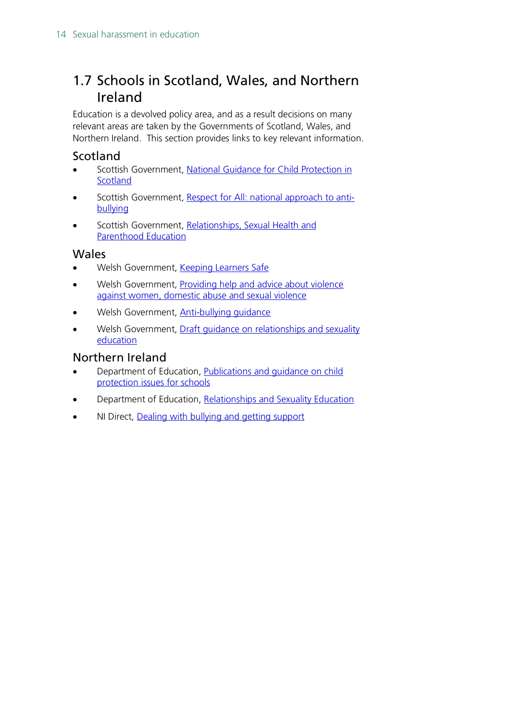# <span id="page-13-0"></span>1.7 Schools in Scotland, Wales, and Northern Ireland

Education is a devolved policy area, and as a result decisions on many relevant areas are taken by the Governments of Scotland, Wales, and Northern Ireland. This section provides links to key relevant information.

## <span id="page-13-1"></span>**Scotland**

- Scottish Government, National Guidance for Child Protection in **[Scotland](https://www.gov.scot/publications/national-guidance-child-protection-scotland/)**
- Scottish Government, [Respect for All: national approach to anti](https://www.gov.scot/publications/respect-national-approach-anti-bullying-scotlands-children-young-people/)[bullying](https://www.gov.scot/publications/respect-national-approach-anti-bullying-scotlands-children-young-people/)
- Scottish Government, [Relationships, Sexual Health and](https://rshp.scot/)  [Parenthood Education](https://rshp.scot/)

### <span id="page-13-2"></span>Wales

- Welsh Government, [Keeping Learners Safe](https://gov.wales/keeping-learners-safe)
- Welsh Government, Providing help and advice about violence [against women, domestic abuse and sexual violence](https://gov.wales/live-fear-free)
- Welsh Government, [Anti-bullying guidance](https://gov.wales/anti-bullying-guidance)
- Welsh Government, Draft quidance on relationships and sexuality [education](https://gov.wales/draft-guidance-relationships-and-sexuality-education)

## <span id="page-13-3"></span>Northern Ireland

- Department of Education, [Publications and guidance on child](https://www.education-ni.gov.uk/articles/publications-and-guidance-child-protection-issues-schools)  [protection issues for schools](https://www.education-ni.gov.uk/articles/publications-and-guidance-child-protection-issues-schools)
- Department of Education, [Relationships and Sexuality Education](https://www.education-ni.gov.uk/articles/relationships-and-sexuality-education)
- NI Direct, [Dealing with bullying and getting support](https://www.nidirect.gov.uk/articles/dealing-bullying-and-getting-support)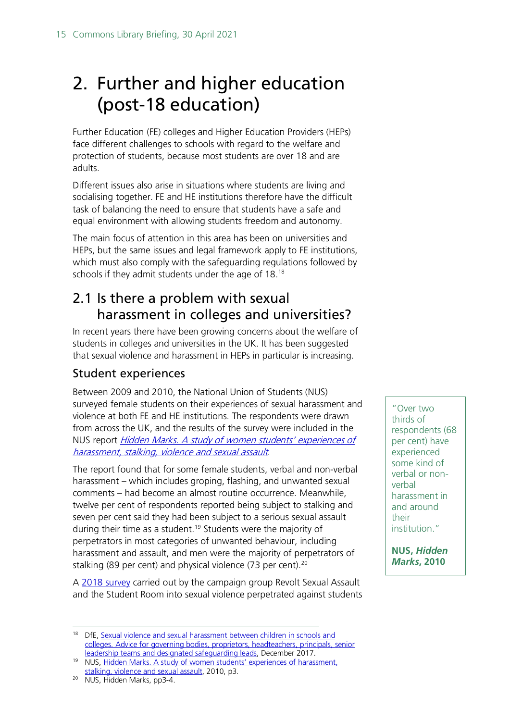# <span id="page-14-0"></span>2. Further and higher education (post-18 education)

Further Education (FE) colleges and Higher Education Providers (HEPs) face different challenges to schools with regard to the welfare and protection of students, because most students are over 18 and are adults.

Different issues also arise in situations where students are living and socialising together. FE and HE institutions therefore have the difficult task of balancing the need to ensure that students have a safe and equal environment with allowing students freedom and autonomy.

The main focus of attention in this area has been on universities and HEPs, but the same issues and legal framework apply to FE institutions, which must also comply with the safeguarding regulations followed by schools if they admit students under the age of 18. [18](#page-14-2)

# <span id="page-14-1"></span>2.1 Is there a problem with sexual harassment in colleges and universities?

In recent years there have been growing concerns about the welfare of students in colleges and universities in the UK. It has been suggested that sexual violence and harassment in HEPs in particular is increasing.

## Student experiences

Between 2009 and 2010, the National Union of Students (NUS) surveyed female students on their experiences of sexual harassment and violence at both FE and HE institutions. The respondents were drawn from across the UK, and the results of the survey were included in the NUS report *Hidden Marks. A study of women students' experiences of* [harassment, stalking, violence and sexual assault](https://www.nusconnect.org.uk/resources/hidden-marks-a-study-of-women-students-experiences-of-harassment-stalking-violence-and-sexual-assault).

The report found that for some female students, verbal and non-verbal harassment – which includes groping, flashing, and unwanted sexual comments – had become an almost routine occurrence. Meanwhile, twelve per cent of respondents reported being subject to stalking and seven per cent said they had been subject to a serious sexual assault during their time as a student.<sup>19</sup> Students were the majority of perpetrators in most categories of unwanted behaviour, including harassment and assault, and men were the majority of perpetrators of stalking (89 per cent) and physical violence (73 per cent).<sup>[20](#page-14-4)</sup>

A [2018 survey](https://revoltsexualassault.com/research/) carried out by the campaign group Revolt Sexual Assault and the Student Room into sexual violence perpetrated against students

"Over two thirds of respondents (68 per cent) have experienced some kind of verbal or nonverbal harassment in and around their institution."

**NUS,** *Hidden Marks***, 2010**

<span id="page-14-2"></span><sup>&</sup>lt;sup>18</sup> DfE, Sexual violence and sexual harassment between children in schools and [colleges. Advice for governing bodies, proprietors, headteachers, principals, senior](https://consult.education.gov.uk/safeguarding-in-schools-team/keeping-children-safe-in-education/supporting_documents/Sexual%20Harassment%20and%20Sexual%20Violence%20%20Advice.pdf)  [leadership teams and designated safeguarding leads,](https://consult.education.gov.uk/safeguarding-in-schools-team/keeping-children-safe-in-education/supporting_documents/Sexual%20Harassment%20and%20Sexual%20Violence%20%20Advice.pdf) December 2017.

<span id="page-14-3"></span><sup>&</sup>lt;sup>19</sup> NUS, Hidden Marks. A study of women students' experiences of harassment, [stalking, violence and sexual assault,](https://www.nusconnect.org.uk/resources/hidden-marks-a-study-of-women-students-experiences-of-harassment-stalking-violence-and-sexual-assault) 2010, p3.

<span id="page-14-4"></span><sup>20</sup> NUS, Hidden Marks, pp3-4.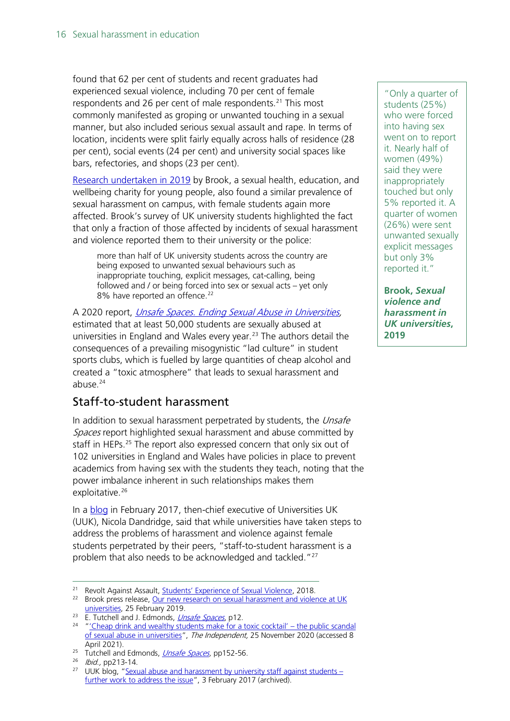found that 62 per cent of students and recent graduates had experienced sexual violence, including 70 per cent of female respondents and 26 per cent of male respondents. [21](#page-15-0) This most commonly manifested as groping or unwanted touching in a sexual manner, but also included serious sexual assault and rape. In terms of location, incidents were split fairly equally across halls of residence (28 per cent), social events (24 per cent) and university social spaces like bars, refectories, and shops (23 per cent).

[Research undertaken in 2019](https://legacy.brook.org.uk/press-releases/sexual-violence-and-harassment-remains-rife-in-universities-according-to-ne) by Brook, a sexual health, education, and wellbeing charity for young people, also found a similar prevalence of sexual harassment on campus, with female students again more affected. Brook's survey of UK university students highlighted the fact that only a fraction of those affected by incidents of sexual harassment and violence reported them to their university or the police:

more than half of UK university students across the country are being exposed to unwanted sexual behaviours such as inappropriate touching, explicit messages, cat-calling, being followed and / or being forced into sex or sexual acts – yet only 8% have reported an offence.<sup>[22](#page-15-1)</sup>

A 2020 report, [Unsafe Spaces. Ending Sexual Abuse in Universities,](https://www.emerald.com/insight/publication/doi/10.1108/9781789730593) estimated that at least 50,000 students are sexually abused at universities in England and Wales every year. [23](#page-15-2) The authors detail the consequences of a prevailing misogynistic "lad culture" in student sports clubs, which is fuelled by large quantities of cheap alcohol and created a "toxic atmosphere" that leads to sexual harassment and abuse.[24](#page-15-3)

## Staff-to-student harassment

In addition to sexual harassment perpetrated by students, the Unsafe Spaces report highlighted sexual harassment and abuse committed by staff in HEPs.<sup>[25](#page-15-4)</sup> The report also expressed concern that only six out of 102 universities in England and Wales have policies in place to prevent academics from having sex with the students they teach, noting that the power imbalance inherent in such relationships makes them exploitative.<sup>[26](#page-15-5)</sup>

In a **blog** in February 2017, then-chief executive of Universities UK (UUK), Nicola Dandridge, said that while universities have taken steps to address the problems of harassment and violence against female students perpetrated by their peers, "staff-to-student harassment is a problem that also needs to be acknowledged and tackled."[27](#page-15-6)

"Only a quarter of students (25%) who were forced into having sex went on to report it. Nearly half of women (49%) said they were inappropriately touched but only 5% reported it. A quarter of women (26%) were sent unwanted sexually explicit messages but only 3% reported it."

**Brook,** *Sexual violence and harassment in UK universities***, 2019**

<span id="page-15-0"></span><sup>&</sup>lt;sup>21</sup> Revolt Against Assault, **Students' Experience of Sexual Violence**, 2018.

<span id="page-15-1"></span><sup>&</sup>lt;sup>22</sup> Brook press release, Our new research on sexual harassment and violence at UK [universities,](https://legacy.brook.org.uk/press-releases/sexual-violence-and-harassment-remains-rife-in-universities-according-to-ne) 25 February 2019.

<span id="page-15-2"></span><sup>&</sup>lt;sup>23</sup> E. Tutchell and J. Edmonds, *[Unsafe Spaces](https://www.emerald.com/insight/publication/doi/10.1108/9781789730593)*, p12.

<span id="page-15-3"></span><sup>&</sup>lt;sup>24</sup> ["'Cheap drink and wealthy students make for a toxic cocktail' –](https://www.independent.co.uk/voices/sexual-abuse-universities-assault-me-too-b1759148.html) the public scandal [of sexual abuse in universities"](https://www.independent.co.uk/voices/sexual-abuse-universities-assault-me-too-b1759148.html), The Independent, 25 November 2020 (accessed 8 April 2021).<br><sup>25</sup> Tutchell and Edmonds, *Unsafe Spaces*, pp152-56.

<span id="page-15-6"></span><span id="page-15-5"></span><span id="page-15-4"></span><sup>&</sup>lt;sup>26</sup> *Ibid.,* pp213-14.

<sup>&</sup>lt;sup>27</sup> UUK blog, ["Sexual abuse and harassment by university staff against students –](https://web.archive.org/web/20170308112824/http:/www.universitiesuk.ac.uk/blog/Pages/Sexual-abuse-and-harassment-by-university-staff-against-students.aspx) [further work to address the issue"](https://web.archive.org/web/20170308112824/http:/www.universitiesuk.ac.uk/blog/Pages/Sexual-abuse-and-harassment-by-university-staff-against-students.aspx), 3 February 2017 (archived).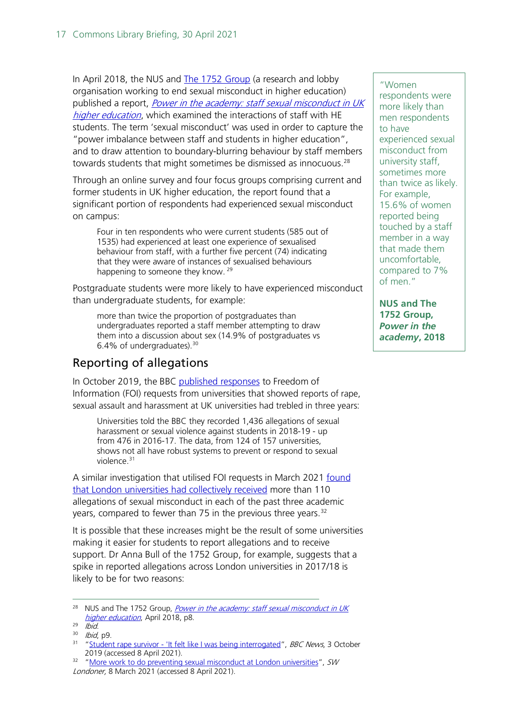In April 2018, the NUS and [The 1752 Group](https://1752group.com/) (a research and lobby organisation working to end sexual misconduct in higher education) published a report, *Power in the academy: staff sexual misconduct in UK* [higher education](https://www.nusconnect.org.uk/resources/nus-staff-student-sexual-misconduct-report), which examined the interactions of staff with HE students. The term 'sexual misconduct' was used in order to capture the "power imbalance between staff and students in higher education", and to draw attention to boundary-blurring behaviour by staff members towards students that might sometimes be dismissed as innocuous.<sup>[28](#page-16-0)</sup>

Through an online survey and four focus groups comprising current and former students in UK higher education, the report found that a significant portion of respondents had experienced sexual misconduct on campus:

Four in ten respondents who were current students (585 out of 1535) had experienced at least one experience of sexualised behaviour from staff, with a further five percent (74) indicating that they were aware of instances of sexualised behaviours happening to someone they know. <sup>[29](#page-16-1)</sup>

Postgraduate students were more likely to have experienced misconduct than undergraduate students, for example:

more than twice the proportion of postgraduates than undergraduates reported a staff member attempting to draw them into a discussion about sex (14.9% of postgraduates vs 6.4% of undergraduates).[30](#page-16-2)

## Reporting of allegations

In October 2019, the BBC [published responses](https://www.bbc.co.uk/news/education-49893389) to Freedom of Information (FOI) requests from universities that showed reports of rape, sexual assault and harassment at UK universities had trebled in three years:

Universities told the BBC they recorded 1,436 allegations of sexual harassment or sexual violence against students in 2018-19 - up from 476 in 2016-17. The data, from 124 of 157 universities, shows not all have robust systems to prevent or respond to sexual violence.<sup>[31](#page-16-3)</sup>

A similar investigation that utilised FOI requests in March 2021 [found](https://www.swlondoner.co.uk/news/08032021-more-work-to-do-preventing-sexual-misconduct-at-london-universities/)  that London universities [had collectively received](https://www.swlondoner.co.uk/news/08032021-more-work-to-do-preventing-sexual-misconduct-at-london-universities/) more than 110 allegations of sexual misconduct in each of the past three academic years, compared to fewer than 75 in the previous three years.<sup>[32](#page-16-4)</sup>

It is possible that these increases might be the result of some universities making it easier for students to report allegations and to receive support. Dr Anna Bull of the 1752 Group, for example, suggests that a spike in reported allegations across London universities in 2017/18 is likely to be for two reasons:

"Women respondents were more likely than men respondents to have experienced sexual misconduct from university staff, sometimes more than twice as likely. For example, 15.6% of women reported being touched by a staff member in a way that made them uncomfortable, compared to 7% of men."

**NUS and The 1752 Group,**  *Power in the academy***, 2018** 

<span id="page-16-0"></span><sup>&</sup>lt;sup>28</sup> NUS and The 1752 Group, *Power in the academy: staff sexual misconduct in UK* [higher education](https://www.nusconnect.org.uk/resources/nus-staff-student-sexual-misconduct-report), April 2018, p8.

<span id="page-16-1"></span> $29$  Ibid.

 $30$  *Ibid*, p9.

<span id="page-16-3"></span><span id="page-16-2"></span><sup>&</sup>lt;sup>31</sup> "Student rape survivor - ['It felt like I was being interrogated"](https://www.bbc.co.uk/news/education-49893389), BBC News, 3 October 2019 (accessed 8 April 2021).

<span id="page-16-4"></span><sup>&</sup>lt;sup>32</sup> ["More work to do preventing sexual misconduct at London universities"](https://www.swlondoner.co.uk/news/08032021-more-work-to-do-preventing-sexual-misconduct-at-london-universities/), SW Londoner, 8 March 2021 (accessed 8 April 2021).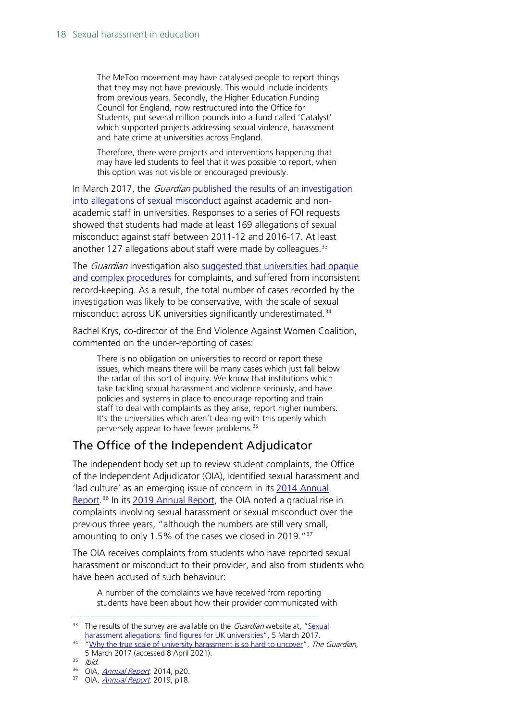The MeToo movement may have catalysed people to report things that they may not have previously. This would include incidents from previous years. Secondly, the Higher Education Funding Council for England, now restructured into the Office for Students, put several million pounds into a fund called 'Catalyst' which supported projects addressing sexual violence, harassment and hate crime at universities across England.

Therefore, there were projects and interventions happening that may have led students to feel that it was possible to report, when this option was not visible or encouraged previously.

In March 2017, the *Guardian* published the results of an investigation [into allegations of sexual misconduct](https://www.theguardian.com/education/ng-interactive/2017/mar/05/sexual-harassment-allegations-find-figures-uk-universities) against academic and nonacademic staff in universities. Responses to a series of FOI requests showed that students had made at least 169 allegations of sexual misconduct against staff between 2011-12 and 2016-17. At least another 127 allegations about staff were made by colleagues. $33$ 

The *Guardian* investigation also suggested that universities had opaque [and complex procedures](https://www.theguardian.com/education/2017/mar/05/why-the-true-scale-of-university-harassment-is-so-hard-to-uncover) for complaints, and suffered from inconsistent record-keeping. As a result, the total number of cases recorded by the investigation was likely to be conservative, with the scale of sexual misconduct across UK universities significantly underestimated. [34](#page-17-1)

Rachel Krys, co-director of the End Violence Against Women Coalition, commented on the under-reporting of cases:

There is no obligation on universities to record or report these issues, which means there will be many cases which just fall below the radar of this sort of inquiry. We know that institutions which take tackling sexual harassment and violence seriously, and have policies and systems in place to encourage reporting and train staff to deal with complaints as they arise, report higher numbers. It's the universities which aren't dealing with this openly which perversely appear to have fewer problems.<sup>[35](#page-17-2)</sup>

## The Office of the Independent Adjudicator

The independent body set up to review student complaints, the Office of the Independent Adjudicator (OIA), identified sexual harassment and 'lad culture' as an emerging issue of concern in its [2014 Annual](https://www.oiahe.org.uk/resources-and-publications/annual-reports/)  [Report.](https://www.oiahe.org.uk/resources-and-publications/annual-reports/)<sup>[36](#page-17-3)</sup> In its [2019 Annual Report,](https://www.oiahe.org.uk/resources-and-publications/annual-reports/) the OIA noted a gradual rise in complaints involving sexual harassment or sexual misconduct over the previous three years, "although the numbers are still very small, amounting to only 1.5% of the cases we closed in 2019.<sup>"[37](#page-17-4)</sup>

The OIA receives complaints from students who have reported sexual harassment or misconduct to their provider, and also from students who have been accused of such behaviour:

A number of the complaints we have received from reporting students have been about how their provider communicated with

<span id="page-17-0"></span> $33$  The results of the survey are available on the *Guardian* website at, "Sexual [harassment allegations: find figures for UK universities"](https://www.theguardian.com/education/ng-interactive/2017/mar/05/sexual-harassment-allegations-find-figures-uk-universities), 5 March 2017.

<span id="page-17-1"></span><sup>&</sup>lt;sup>34</sup> ["Why the true scale of university harassment is so hard to uncover"](https://www.theguardian.com/education/2017/mar/05/why-the-true-scale-of-university-harassment-is-so-hard-to-uncover), The Guardian, 5 March 2017 (accessed 8 April 2021).

<span id="page-17-2"></span><sup>35</sup> Ibid.

<span id="page-17-3"></span><sup>&</sup>lt;sup>36</sup> OIA, *[Annual Report](https://www.oiahe.org.uk/resources-and-publications/annual-reports/)*, 2014, p20.

<span id="page-17-4"></span> $37$  OIA, *[Annual Report](https://www.oiahe.org.uk/resources-and-publications/annual-reports/)*, 2019, p18.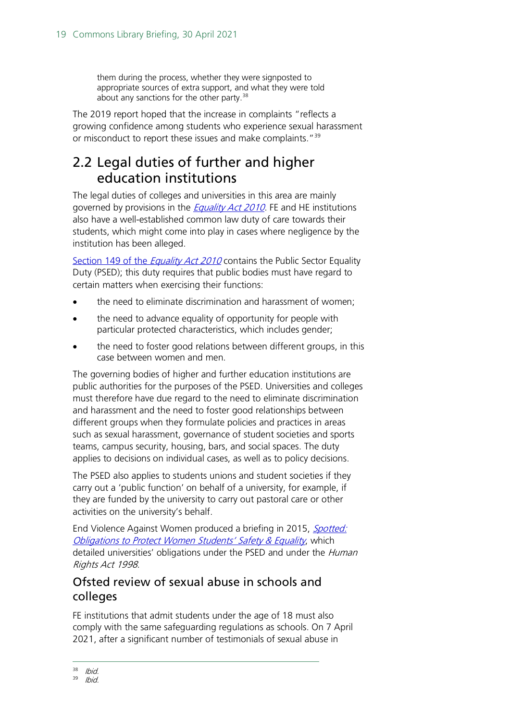them during the process, whether they were signposted to appropriate sources of extra support, and what they were told about any sanctions for the other party.<sup>[38](#page-18-1)</sup>

The 2019 report hoped that the increase in complaints "reflects a growing confidence among students who experience sexual harassment or misconduct to report these issues and make complaints."<sup>[39](#page-18-2)</sup>

# <span id="page-18-0"></span>2.2 Legal duties of further and higher education institutions

The legal duties of colleges and universities in this area are mainly governed by provisions in the **[Equality Act 2010](https://www.legislation.gov.uk/ukpga/2010/15/contents)**. FE and HE institutions also have a well-established common law duty of care towards their students, which might come into play in cases where negligence by the institution has been alleged.

[Section 149 of the](https://www.legislation.gov.uk/ukpga/2010/15/section/149) *Equality Act 2010* contains the Public Sector Equality Duty (PSED); this duty requires that public bodies must have regard to certain matters when exercising their functions:

- the need to eliminate discrimination and harassment of women;
- the need to advance equality of opportunity for people with particular protected characteristics, which includes gender;
- the need to foster good relations between different groups, in this case between women and men.

The governing bodies of higher and further education institutions are public authorities for the purposes of the PSED. Universities and colleges must therefore have due regard to the need to eliminate discrimination and harassment and the need to foster good relationships between different groups when they formulate policies and practices in areas such as sexual harassment, governance of student societies and sports teams, campus security, housing, bars, and social spaces. The duty applies to decisions on individual cases, as well as to policy decisions.

The PSED also applies to students unions and student societies if they carry out a 'public function' on behalf of a university, for example, if they are funded by the university to carry out pastoral care or other activities on the university's behalf.

End Violence Against Women produced a briefing in 2015, Spotted: [Obligations to Protect Women Students' Safety & Equality](http://www.endviolenceagainstwomen.org.uk/wp-content/uploads/Spotted-Obligations-to-Protect-Women-StudentsEy-Safety-Equality.pdf), which detailed universities' obligations under the PSED and under the *Human* Rights Act 1998.

## Ofsted review of sexual abuse in schools and colleges

FE institutions that admit students under the age of 18 must also comply with the same safeguarding regulations as schools. On 7 April 2021, after a significant number of testimonials of sexual abuse in

<span id="page-18-1"></span><sup>38</sup> Ibid.

<span id="page-18-2"></span><sup>39</sup> Ibid.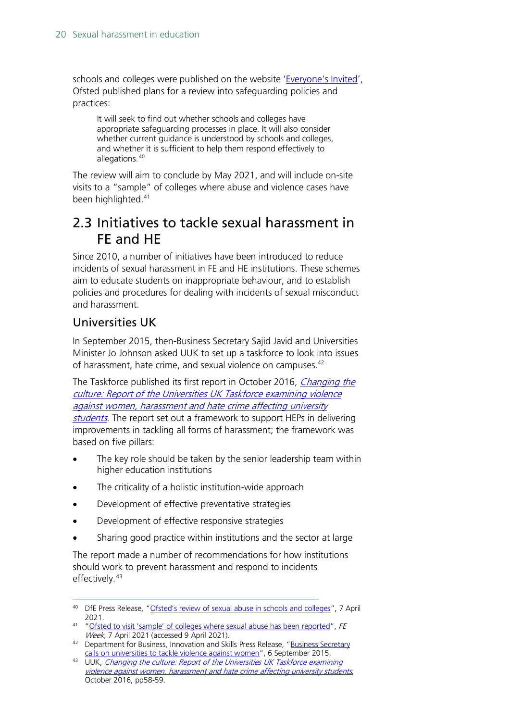schools and colleges were published on the website ['Everyone's Invited'](https://www.everyonesinvited.uk/), Ofsted published plans for a review into safeguarding policies and practices:

It will seek to find out whether schools and colleges have appropriate safeguarding processes in place. It will also consider whether current guidance is understood by schools and colleges, and whether it is sufficient to help them respond effectively to allegations.<sup>[40](#page-19-1)</sup>

The review will aim to conclude by May 2021, and will include on-site visits to a "sample" of colleges where abuse and violence cases have been highlighted.<sup>[41](#page-19-2)</sup>

## <span id="page-19-0"></span>2.3 Initiatives to tackle sexual harassment in FE and HE

Since 2010, a number of initiatives have been introduced to reduce incidents of sexual harassment in FE and HE institutions. These schemes aim to educate students on inappropriate behaviour, and to establish policies and procedures for dealing with incidents of sexual misconduct and harassment.

## Universities UK

In September 2015, then-Business Secretary Sajid Javid and Universities Minister Jo Johnson asked UUK to set up a taskforce to look into issues of harassment, hate crime, and sexual violence on campuses.<sup>[42](#page-19-3)</sup>

The Taskforce published its first report in October 2016, *Changing the* [culture: Report of the Universities UK Taskforce examining violence](https://www.universitiesuk.ac.uk/policy-and-analysis/reports/Pages/changing-the-culture-final-report.aspx)  [against women, harassment and hate crime affecting university](https://www.universitiesuk.ac.uk/policy-and-analysis/reports/Pages/changing-the-culture-final-report.aspx)  [students](https://www.universitiesuk.ac.uk/policy-and-analysis/reports/Pages/changing-the-culture-final-report.aspx). The report set out a framework to support HEPs in delivering improvements in tackling all forms of harassment; the framework was based on five pillars:

- The key role should be taken by the senior leadership team within higher education institutions
- The criticality of a holistic institution-wide approach
- Development of effective preventative strategies
- Development of effective responsive strategies
- Sharing good practice within institutions and the sector at large

The report made a number of recommendations for how institutions should work to prevent harassment and respond to incidents effectively. [43](#page-19-4)

<span id="page-19-1"></span><sup>40</sup> DfE Press Release, ["Ofsted's review of sexual abuse in schools and colleges"](https://www.gov.uk/government/news/ofsteds-review-of-sexual-abuse-in-schools-and-colleges), 7 April 2021.<br><sup>41</sup> ["Ofsted to visit 'sample' of colleges where sexual abuse has been reported"](https://feweek.co.uk/2021/04/07/ofsted-to-visit-sample-of-colleges-where-sexual-abuse-has-been-reported/?utm_source=feedly&utm_medium=rss&utm_campaign=ofsted-to-visit-sample-of-colleges-where-sexual-abuse-has-been-reported&utm_source=HOC+Library+-+Current+awareness+bulletins&utm_campaign=e4ba960274-Current_Awareness_Social_Policy_E_08-04-2021&utm_medium=email&utm_term=0_f325cdbfdc-e4ba960274-104017050&mc_cid=e4ba960274&mc_eid=70da77b5ba), FE

<span id="page-19-2"></span>Week, 7 April 2021 (accessed 9 April 2021).

<span id="page-19-3"></span><sup>&</sup>lt;sup>42</sup> Department for Business, Innovation and Skills Press Release, "Business Secretary

<span id="page-19-4"></span>[calls on universities to tackle violence against women"](https://www.gov.uk/government/news/business-secretary-calls-on-universities-to-tackle-violence-against-women-on-campus), 6 September 2015.<br><sup>43</sup> UUK, *Changing the culture: Report of the Universities UK Taskforce examining* [violence against women, harassment and hate crime affecting university students](https://www.universitiesuk.ac.uk/policy-and-analysis/reports/Pages/changing-the-culture-final-report.aspx), October 2016, pp58-59.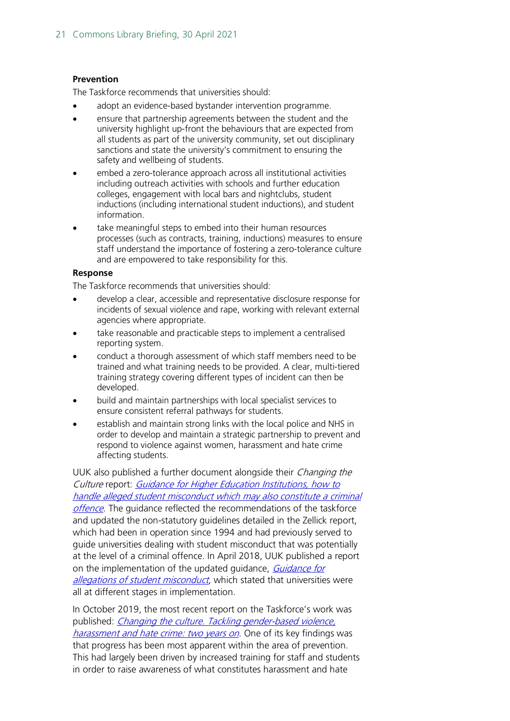#### **Prevention**

The Taskforce recommends that universities should:

- adopt an evidence-based bystander intervention programme.
- ensure that partnership agreements between the student and the university highlight up-front the behaviours that are expected from all students as part of the university community, set out disciplinary sanctions and state the university's commitment to ensuring the safety and wellbeing of students.
- embed a zero-tolerance approach across all institutional activities including outreach activities with schools and further education colleges, engagement with local bars and nightclubs, student inductions (including international student inductions), and student information.
- take meaningful steps to embed into their human resources processes (such as contracts, training, inductions) measures to ensure staff understand the importance of fostering a zero-tolerance culture and are empowered to take responsibility for this.

#### **Response**

The Taskforce recommends that universities should:

- develop a clear, accessible and representative disclosure response for incidents of sexual violence and rape, working with relevant external agencies where appropriate.
- take reasonable and practicable steps to implement a centralised reporting system.
- conduct a thorough assessment of which staff members need to be trained and what training needs to be provided. A clear, multi-tiered training strategy covering different types of incident can then be developed.
- build and maintain partnerships with local specialist services to ensure consistent referral pathways for students.
- establish and maintain strong links with the local police and NHS in order to develop and maintain a strategic partnership to prevent and respond to violence against women, harassment and hate crime affecting students.

UUK also published a further document alongside their Changing the Culture report: [Guidance for Higher Education Institutions, how to](http://www.universitiesuk.ac.uk/policy-and-analysis/reports/Documents/2016/guidance-for-higher-education-institutions.pdf)  [handle alleged student misconduct which may also constitute a criminal](http://www.universitiesuk.ac.uk/policy-and-analysis/reports/Documents/2016/guidance-for-higher-education-institutions.pdf)  [offence](http://www.universitiesuk.ac.uk/policy-and-analysis/reports/Documents/2016/guidance-for-higher-education-institutions.pdf). The quidance reflected the recommendations of the taskforce and updated the non-statutory guidelines detailed in the Zellick report, which had been in operation since 1994 and had previously served to guide universities dealing with student misconduct that was potentially at the level of a criminal offence. In April 2018, UUK published a report on the implementation of the updated quidance, *Guidance for* [allegations of student misconduct](https://www.universitiesuk.ac.uk/policy-and-analysis/reports/Documents/2018/uuk-cu-first-disclosures-briefing-note.pdf), which stated that universities were all at different stages in implementation.

In October 2019, the most recent report on the Taskforce's work was published: *Changing the culture. Tackling gender-based violence*, harassment and hate crime: two vears on. One of its key findings was that progress has been most apparent within the area of prevention. This had largely been driven by increased training for staff and students in order to raise awareness of what constitutes harassment and hate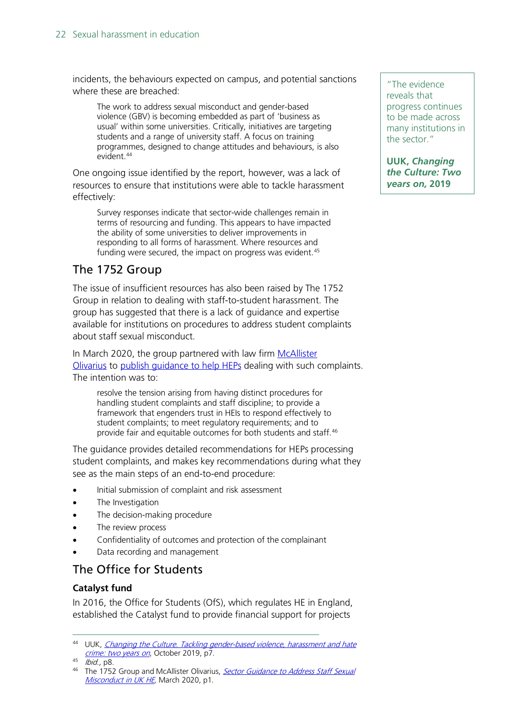incidents, the behaviours expected on campus, and potential sanctions where these are breached:

The work to address sexual misconduct and gender-based violence (GBV) is becoming embedded as part of 'business as usual' within some universities. Critically, initiatives are targeting students and a range of university staff. A focus on training programmes, designed to change attitudes and behaviours, is also evident.<sup>[44](#page-21-0)</sup>

One ongoing issue identified by the report, however, was a lack of resources to ensure that institutions were able to tackle harassment effectively:

Survey responses indicate that sector-wide challenges remain in terms of resourcing and funding. This appears to have impacted the ability of some universities to deliver improvements in responding to all forms of harassment. Where resources and funding were secured, the impact on progress was evident.<sup>[45](#page-21-1)</sup>

## The 1752 Group

The issue of insufficient resources has also been raised by The 1752 Group in relation to dealing with staff-to-student harassment. The group has suggested that there is a lack of guidance and expertise available for institutions on procedures to address student complaints about staff sexual misconduct.

In March 2020, the group partnered with law firm McAllister [Olivarius](http://www.mcolaw.com/) to publish [guidance to help HEPs](https://1752group.com/sector-guidance/) dealing with such complaints. The intention was to:

resolve the tension arising from having distinct procedures for handling student complaints and staff discipline; to provide a framework that engenders trust in HEIs to respond effectively to student complaints; to meet regulatory requirements; and to provide fair and equitable outcomes for both students and staff. [46](#page-21-2)

The guidance provides detailed recommendations for HEPs processing student complaints, and makes key recommendations during what they see as the main steps of an end-to-end procedure:

- Initial submission of complaint and risk assessment
- The Investigation
- The decision-making procedure
- The review process
- Confidentiality of outcomes and protection of the complainant
- Data recording and management

## The Office for Students

#### **Catalyst fund**

In 2016, the Office for Students (OfS), which regulates HE in England, established the Catalyst fund to provide financial support for projects

"The evidence reveals that progress continues to be made across many institutions in the sector."

**UUK,** *Changing the Culture: Two years on,* **2019**

<span id="page-21-0"></span><sup>&</sup>lt;sup>44</sup> UUK, Changing the Culture. Tackling gender-based violence, harassment and hate [crime: two years on](https://www.universitiesuk.ac.uk/policy-and-analysis/reports/Pages/changing-the-culture-two-years-on.aspx), October 2019, p7.

<span id="page-21-1"></span> $45$  *Ibid.,* p8.

<span id="page-21-2"></span><sup>&</sup>lt;sup>46</sup> The 1752 Group and McAllister Olivarius, Sector Guidance to Address Staff Sexual [Misconduct in UK HE,](https://1752group.com/wp-content/uploads/2020/03/the-1752-group-and-mcallister-olivarius-sector-guidance-to-address-staff-sexual-misconduct-in-uk-he-1.pdf) March 2020, p1.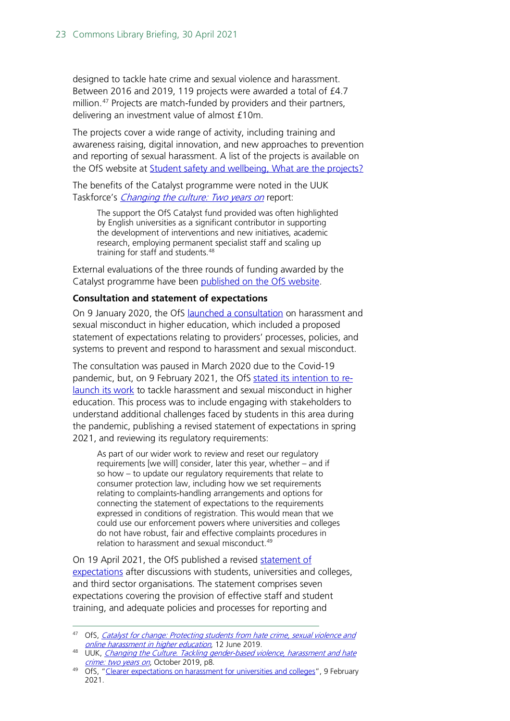designed to tackle hate crime and sexual violence and harassment. Between 2016 and 2019, 119 projects were awarded a total of £4.7 million. [47](#page-22-0) Projects are match-funded by providers and their partners, delivering an investment value of almost £10m.

The projects cover a wide range of activity, including training and awareness raising, digital innovation, and new approaches to prevention and reporting of sexual harassment. A list of the projects is available on the OfS website at [Student safety and wellbeing, What are the projects?](https://www.officeforstudents.org.uk/advice-and-guidance/student-wellbeing-and-protection/student-safety-and-wellbeing/what-are-the-projects/)

The benefits of the Catalyst programme were noted in the UUK Taskforce's *[Changing the culture:](https://www.universitiesuk.ac.uk/policy-and-analysis/reports/Pages/changing-the-culture-two-years-on.aspx) Two years on* report:

The support the OfS Catalyst fund provided was often highlighted by English universities as a significant contributor in supporting the development of interventions and new initiatives, academic research, employing permanent specialist staff and scaling up training for staff and students.[48](#page-22-1)

External evaluations of the three rounds of funding awarded by the Catalyst programme have been [published on the OfS website.](https://www.officeforstudents.org.uk/publications/catalyst-fund-projects-evaluation/)

#### **Consultation and statement of expectations**

On 9 January 2020, the OfS [launched a consultation](https://www.officeforstudents.org.uk/publications/consultation-on-harassment-and-sexual-misconduct/) on harassment and sexual misconduct in higher education, which included a proposed statement of expectations relating to providers' processes, policies, and systems to prevent and respond to harassment and sexual misconduct.

The consultation was paused in March 2020 due to the Covid-19 pandemic, but, on 9 February 2021, the OfS stated [its intention to](https://www.officeforstudents.org.uk/advice-and-guidance/student-wellbeing-and-protection/prevent-and-address-harassment-and-sexual-misconduct/next-steps/) re[launch its work](https://www.officeforstudents.org.uk/advice-and-guidance/student-wellbeing-and-protection/prevent-and-address-harassment-and-sexual-misconduct/next-steps/) to tackle harassment and sexual misconduct in higher education. This process was to include engaging with stakeholders to understand additional challenges faced by students in this area during the pandemic, publishing a revised statement of expectations in spring 2021, and reviewing its regulatory requirements:

As part of our wider work to review and reset our regulatory requirements [we will] consider, later this year, whether – and if so how – to update our regulatory requirements that relate to consumer protection law, including how we set requirements relating to complaints-handling arrangements and options for connecting the statement of expectations to the requirements expressed in conditions of registration. This would mean that we could use our enforcement powers where universities and colleges do not have robust, fair and effective complaints procedures in relation to harassment and sexual misconduct.<sup>[49](#page-22-2)</sup>

On 19 April 2021, the OfS published a revised [statement of](https://www.officeforstudents.org.uk/advice-and-guidance/student-wellbeing-and-protection/prevent-and-address-harassment-and-sexual-misconduct/statement-of-expectations/)  [expectations](https://www.officeforstudents.org.uk/advice-and-guidance/student-wellbeing-and-protection/prevent-and-address-harassment-and-sexual-misconduct/statement-of-expectations/) after discussions with students, universities and colleges, and third sector organisations. The statement comprises seven expectations covering the provision of effective staff and student training, and adequate policies and processes for reporting and

<span id="page-22-0"></span><sup>&</sup>lt;sup>47</sup> OfS, *Catalyst for change: Protecting students from hate crime, sexual violence and* [online harassment in higher education](https://www.officeforstudents.org.uk/publications/catalyst-fund-projects-evaluation/), 12 June 2019.

<span id="page-22-1"></span><sup>48</sup> UUK, [Changing the Culture. Tackling gender-based violence, harassment and hate](https://www.universitiesuk.ac.uk/policy-and-analysis/reports/Pages/changing-the-culture-two-years-on.aspx) crime: two years on, October 2019, p8.

<span id="page-22-2"></span><sup>&</sup>lt;sup>49</sup> OfS[,](https://www.universitiesuk.ac.uk/policy-and-analysis/reports/Pages/changing-the-culture-two-years-on.aspx) ["Clearer expectations on harassment for universities and colleges"](https://www.officeforstudents.org.uk/news-blog-and-events/press-and-media/clearer-expectations-on-harassment-for-universities-and-colleges/), 9 February 2021.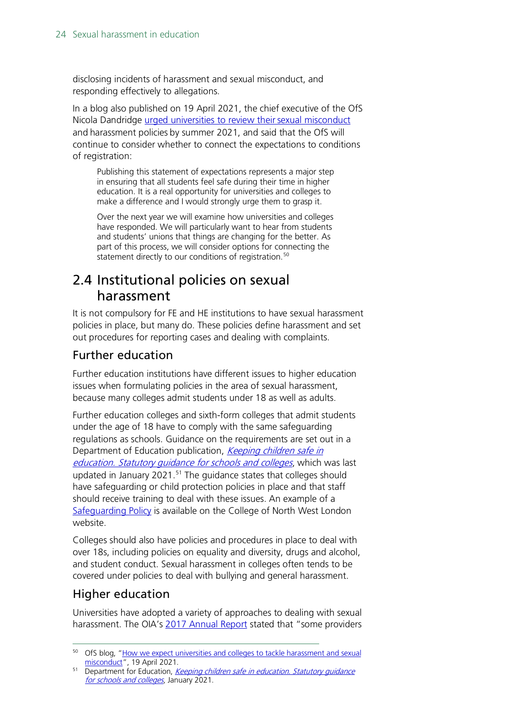disclosing incidents of harassment and sexual misconduct, and responding effectively to allegations.

In a blog also published on 19 April 2021, the chief executive of the OfS Nicola Dandridge urged universities to review their sexual misconduct and harassment policies by summer 2021, and said that the OfS will continue to consider whether to connect the expectations to conditions of registration:

Publishing this statement of expectations represents a major step in ensuring that all students feel safe during their time in higher education. It is a real opportunity for universities and colleges to make a difference and I would strongly urge them to grasp it.

Over the next year we will examine how universities and colleges have responded. We will particularly want to hear from students and students' unions that things are changing for the better. As part of this process, we will consider options for connecting the statement directly to our conditions of registration.<sup>[50](#page-23-1)</sup>

# <span id="page-23-0"></span>2.4 Institutional policies on sexual harassment

It is not compulsory for FE and HE institutions to have sexual harassment policies in place, but many do. These policies define harassment and set out procedures for reporting cases and dealing with complaints.

## Further education

Further education institutions have different issues to higher education issues when formulating policies in the area of sexual harassment, because many colleges admit students under 18 as well as adults.

Further education colleges and sixth-form colleges that admit students under the age of 18 have to comply with the same safeguarding regulations as schools. Guidance on the requirements are set out in a Department of Education publication, Keeping children safe in education. Statutory quidance for schools and colleges, which was last updated in January 2021. [51](#page-23-2) The guidance states that colleges should have safeguarding or child protection policies in place and that staff should receive training to deal with these issues. An example of a [Safeguarding Policy](https://www.cnwl.ac.uk/student-support/safeguarding) is available on the College of North West London website.

Colleges should also have policies and procedures in place to deal with over 18s, including policies on equality and diversity, drugs and alcohol, and student conduct. Sexual harassment in colleges often tends to be covered under policies to deal with bullying and general harassment.

## Higher education

Universities have adopted a variety of approaches to dealing with sexual harassment. The OIA's [2017 Annual Report](https://www.oiahe.org.uk/resources-and-publications/annual-reports/) stated that "some providers

<span id="page-23-1"></span><sup>50</sup> OfS blog, "How we expect universities and colleges to tackle harassment and sexual [misconduct"](https://www.officeforstudents.org.uk/news-blog-and-events/blog/how-we-expect-universities-and-colleges-to-tackle-harassment-and-sexual-misconduct/), 19 April 2021.

<span id="page-23-2"></span><sup>&</sup>lt;sup>51</sup> Department for Education, Keeping children safe in education. Statutory guidance [for schools and colleges](https://www.gov.uk/government/publications/keeping-children-safe-in-education--2), January 2021.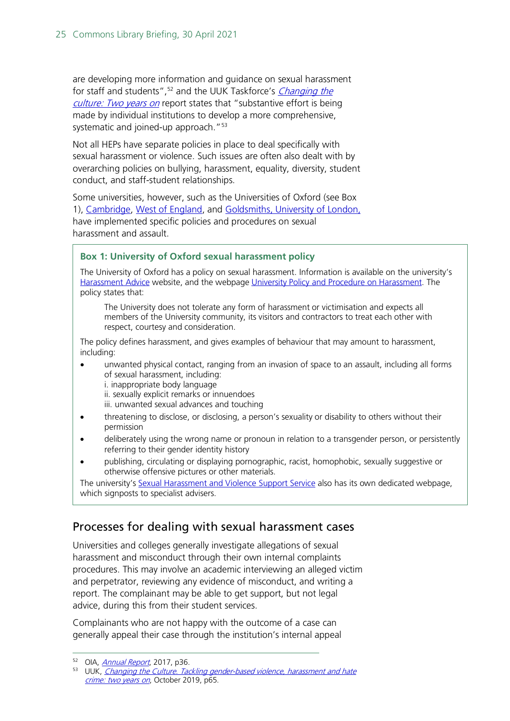are developing more information and guidance on sexual harassment for staff and students",<sup>[52](#page-24-0)</sup> and the UUK Taskforce's *Changing the* culture: Two vears on report states that "substantive effort is being made by individual institutions to develop a more comprehensive, systematic and joined-up approach."<sup>53</sup>

Not all HEPs have separate policies in place to deal specifically with sexual harassment or violence. Such issues are often also dealt with by overarching policies on bullying, harassment, equality, diversity, student conduct, and staff-student relationships.

Some universities, however, such as the Universities of Oxford (see Box 1), [Cambridge,](https://www.studentcomplaints.admin.cam.ac.uk/harassment-sexual-misconduct/i-want-know-more-about-universitys-policies) [West of England,](http://www2.uwe.ac.uk/services/Marketing/about-us/pdf/Policies/UWE-Sexual-Harassment-Violence-Policy-Statement.pdf) and [Goldsmiths, University of London,](https://reportandsupport.gold.ac.uk/support/goldsmiths-policy-on-sexual-violence-sexual-harassment-and-sexual-misconduct) have implemented specific policies and procedures on sexual harassment and assault.

#### **Box 1: University of Oxford sexual harassment policy**

The University of Oxford has a policy on sexual harassment. Information is available on the university's [Harassment Advice](https://www.admin.ox.ac.uk/eop/harassmentadvice/) website, and the webpag[e University Policy and Procedure on Harassment.](https://www.admin.ox.ac.uk/eop/harassmentadvice/policyandprocedure/) The policy states that:

The University does not tolerate any form of harassment or victimisation and expects all members of the University community, its visitors and contractors to treat each other with respect, courtesy and consideration.

The policy defines harassment, and gives examples of behaviour that may amount to harassment, including:

- unwanted physical contact, ranging from an invasion of space to an assault, including all forms of sexual harassment, including:
	- i. inappropriate body language
	- ii. sexually explicit remarks or innuendoes
	- iii. unwanted sexual advances and touching
- threatening to disclose, or disclosing, a person's sexuality or disability to others without their permission
- deliberately using the wrong name or pronoun in relation to a transgender person, or persistently referring to their gender identity history
- publishing, circulating or displaying pornographic, racist, homophobic, sexually suggestive or otherwise offensive pictures or other materials.

The university's [Sexual Harassment and Violence Support Service](https://www.ox.ac.uk/students/welfare/supportservice?wssl=1) also has its own dedicated webpage, which signposts to specialist advisers.

## Processes for dealing with sexual harassment cases

Universities and colleges generally investigate allegations of sexual harassment and misconduct through their own internal complaints procedures. This may involve an academic interviewing an alleged victim and perpetrator, reviewing any evidence of misconduct, and writing a report. The complainant may be able to get support, but not legal advice, during this from their student services.

Complainants who are not happy with the outcome of a case can generally appeal their case through the institution's internal appeal

<span id="page-24-0"></span><sup>52</sup> OIA, *[Annual Report](https://www.oiahe.org.uk/media/1806/oia-annual-report-2017.pdf)*, 2017, p36.

<span id="page-24-1"></span><sup>&</sup>lt;sup>53</sup> UUK, Changing the Culture. Tackling gender-based violence, harassment and hate [crime: two years on](https://www.universitiesuk.ac.uk/policy-and-analysis/reports/Pages/changing-the-culture-two-years-on.aspx), October 2019, p65.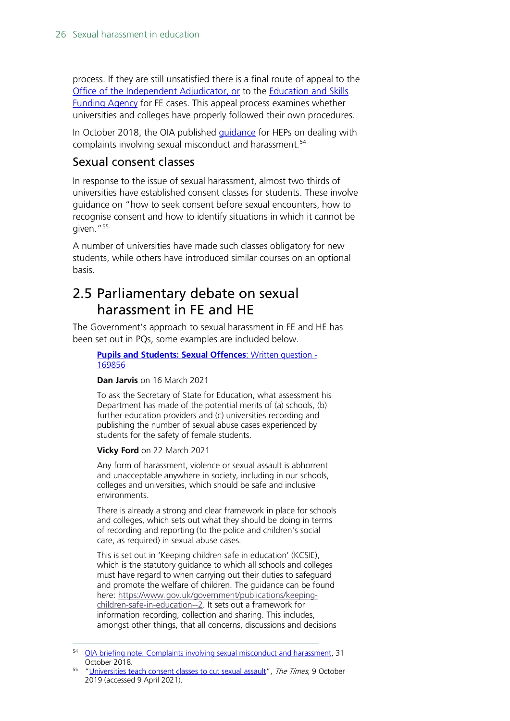process. If they are still unsatisfied there is a final route of appeal to the [Office of the Independent Adjudicator,](http://www.oiahe.org.uk/) or to the [Education and Skills](https://www.gov.uk/government/organisations/education-and-skills-funding-agency)  [Funding Agency](https://www.gov.uk/government/organisations/education-and-skills-funding-agency) for FE cases. This appeal process examines whether universities and colleges have properly followed their own procedures.

In October 2018, the OIA published *guidance* for HEPs on dealing with complaints involving sexual misconduct and harassment.<sup>[54](#page-25-1)</sup>

### Sexual consent classes

In response to the issue of sexual harassment, almost two thirds of universities have established consent classes for students. These involve guidance on "how to seek consent before sexual encounters, how to recognise consent and how to identify situations in which it cannot be given."[55](#page-25-2)

A number of universities have made such classes obligatory for new students, while others have introduced similar courses on an optional basis.

## <span id="page-25-0"></span>2.5 Parliamentary debate on sexual harassment in FE and HE

The Government's approach to sexual harassment in FE and HE has been set out in PQs, some examples are included below.

**[Pupils and Students: Sexual Offences](https://questions-statements.parliament.uk/written-questions/detail/2021-03-16/169856)**: Written question [-](https://questions-statements.parliament.uk/written-questions/detail/2021-03-16/169856) [169856](https://questions-statements.parliament.uk/written-questions/detail/2021-03-16/169856)

#### **Dan Jarvis** on 16 March 2021

To ask the Secretary of State for Education, what assessment his Department has made of the potential merits of (a) schools, (b) further education providers and (c) universities recording and publishing the number of sexual abuse cases experienced by students for the safety of female students.

#### **Vicky Ford** on 22 March 2021

Any form of harassment, violence or sexual assault is abhorrent and unacceptable anywhere in society, including in our schools, colleges and universities, which should be safe and inclusive environments.

There is already a strong and clear framework in place for schools and colleges, which sets out what they should be doing in terms of recording and reporting (to the police and children's social care, as required) in sexual abuse cases.

This is set out in 'Keeping children safe in education' (KCSIE), which is the statutory guidance to which all schools and colleges must have regard to when carrying out their duties to safeguard and promote the welfare of children. The guidance can be found here: [https://www.gov.uk/government/publications/keeping](https://www.gov.uk/government/publications/keeping-children-safe-in-education--2)[children-safe-in-education--2.](https://www.gov.uk/government/publications/keeping-children-safe-in-education--2) It sets out a framework for information recording, collection and sharing. This includes, amongst other things, that all concerns, discussions and decisions

<span id="page-25-1"></span><sup>54</sup> [OIA briefing note: Complaints involving sexual misconduct and harassment,](file://hpap03f/DIS/Shares/Publications/Standard%20Notes/Final%20-%20SPS/OIA%20briefing%20note:%20Complaints%20involving%20sexual%20misconduct%20and%20harassment) 31 October 2018.

<span id="page-25-2"></span><sup>55</sup> ["Universities teach consent classes to cut sexual assault"](https://www.thetimes.co.uk/article/universities-teach-consent-classes-to-cut-sexual-assault-kg62ld5nw), The Times, 9 October 2019 (accessed 9 April 2021).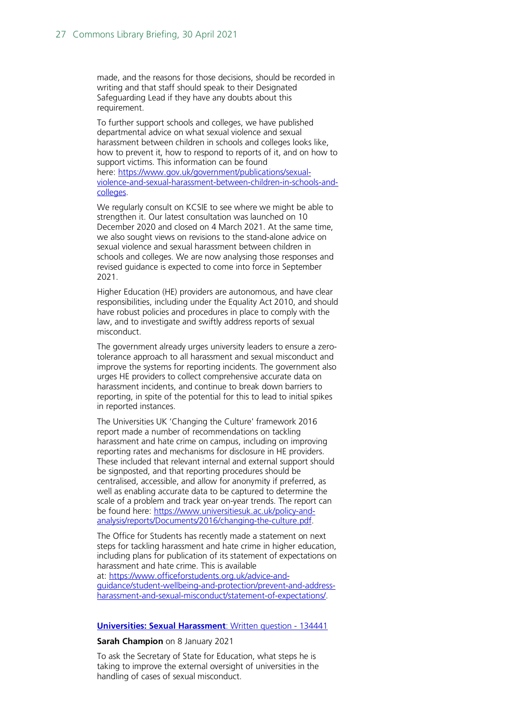made, and the reasons for those decisions, should be recorded in writing and that staff should speak to their Designated Safeguarding Lead if they have any doubts about this requirement.

To further support schools and colleges, we have published departmental advice on what sexual violence and sexual harassment between children in schools and colleges looks like, how to prevent it, how to respond to reports of it, and on how to support victims. This information can be found here: [https://www.gov.uk/government/publications/sexual](https://www.gov.uk/government/publications/sexual-violence-and-sexual-harassment-between-children-in-schools-and-colleges()[violence-and-sexual-harassment-between-children-in-schools-and](https://www.gov.uk/government/publications/sexual-violence-and-sexual-harassment-between-children-in-schools-and-colleges()[colleges.](https://www.gov.uk/government/publications/sexual-violence-and-sexual-harassment-between-children-in-schools-and-colleges()

We regularly consult on KCSIE to see where we might be able to strengthen it. Our latest consultation was launched on 10 December 2020 and closed on 4 March 2021. At the same time, we also sought views on revisions to the stand-alone advice on sexual violence and sexual harassment between children in schools and colleges. We are now analysing those responses and revised guidance is expected to come into force in September 2021.

Higher Education (HE) providers are autonomous, and have clear responsibilities, including under the Equality Act 2010, and should have robust policies and procedures in place to comply with the law, and to investigate and swiftly address reports of sexual misconduct.

The government already urges university leaders to ensure a zerotolerance approach to all harassment and sexual misconduct and improve the systems for reporting incidents. The government also urges HE providers to collect comprehensive accurate data on harassment incidents, and continue to break down barriers to reporting, in spite of the potential for this to lead to initial spikes in reported instances.

The Universities UK 'Changing the Culture' framework 2016 report made a number of recommendations on tackling harassment and hate crime on campus, including on improving reporting rates and mechanisms for disclosure in HE providers. These included that relevant internal and external support should be signposted, and that reporting procedures should be centralised, accessible, and allow for anonymity if preferred, as well as enabling accurate data to be captured to determine the scale of a problem and track year on-year trends. The report can be found here: [https://www.universitiesuk.ac.uk/policy-and](https://www.universitiesuk.ac.uk/policy-and-analysis/reports/Documents/2016/changing-the-culture.pdf)[analysis/reports/Documents/2016/changing-the-culture.pdf.](https://www.universitiesuk.ac.uk/policy-and-analysis/reports/Documents/2016/changing-the-culture.pdf)

The Office for Students has recently made a statement on next steps for tackling harassment and hate crime in higher education, including plans for publication of its statement of expectations on harassment and hate crime. This is available at: [https://www.officeforstudents.org.uk/advice-and-](https://www.officeforstudents.org.uk/advice-and-guidance/student-wellbeing-and-protection/prevent-and-address-harassment-and-sexual-misconduct/statement-of-expectations/)

[guidance/student-wellbeing-and-protection/prevent-and-address](https://www.officeforstudents.org.uk/advice-and-guidance/student-wellbeing-and-protection/prevent-and-address-harassment-and-sexual-misconduct/statement-of-expectations/)[harassment-and-sexual-misconduct/statement-of-expectations/.](https://www.officeforstudents.org.uk/advice-and-guidance/student-wellbeing-and-protection/prevent-and-address-harassment-and-sexual-misconduct/statement-of-expectations/)

#### **[Universities: Sexual Harassment](https://questions-statements.parliament.uk/written-questions/detail/2021-01-08/134441)**: Written question - [134441](https://questions-statements.parliament.uk/written-questions/detail/2021-01-08/134441)

#### **Sarah Champion** on 8 January 2021

To ask the Secretary of State for Education, what steps he is taking to improve the external oversight of universities in the handling of cases of sexual misconduct.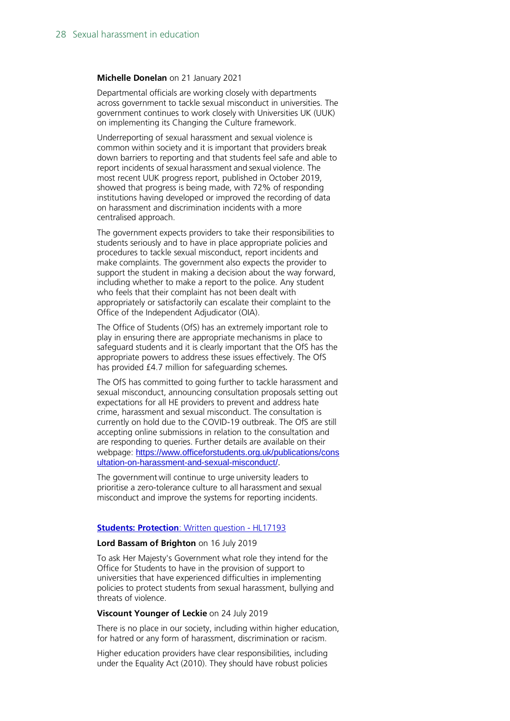#### **Michelle Donelan** on 21 January 2021

Departmental officials are working closely with departments across government to tackle sexual misconduct in universities. The government continues to work closely with Universities UK (UUK) on implementing its Changing the Culture framework.

Underreporting of sexual harassment and sexual violence is common within society and it is important that providers break down barriers to reporting and that students feel safe and able to report incidents of sexual harassment and sexual violence. The most recent UUK progress report, published in October 2019, showed that progress is being made, with 72% of responding institutions having developed or improved the recording of data on harassment and discrimination incidents with a more centralised approach.

The government expects providers to take their responsibilities to students seriously and to have in place appropriate policies and procedures to tackle sexual misconduct, report incidents and make complaints. The government also expects the provider to support the student in making a decision about the way forward, including whether to make a report to the police. Any student who feels that their complaint has not been dealt with appropriately or satisfactorily can escalate their complaint to the Office of the Independent Adjudicator (OIA).

The Office of Students (OfS) has an extremely important role to play in ensuring there are appropriate mechanisms in place to safeguard students and it is clearly important that the OfS has the appropriate powers to address these issues effectively. The OfS has provided £4.7 million for safeguarding schemes*.*

The OfS has committed to going further to tackle harassment and sexual misconduct, announcing consultation proposals setting out expectations for all HE providers to prevent and address hate crime, harassment and sexual misconduct. The consultation is currently on hold due to the COVID-19 outbreak. The OfS are still accepting online submissions in relation to the consultation and are responding to queries. Further details are available on their webpage: [https://www.officeforstudents.org.uk/publications/cons](https://www.officeforstudents.org.uk/publications/consultation-on-harassment-and-sexual-misconduct/) [ultation-on-harassment-and-sexual-misconduct/.](https://www.officeforstudents.org.uk/publications/consultation-on-harassment-and-sexual-misconduct/)

The government will continue to urge university leaders to prioritise a zero-tolerance culture to all harassment and sexual misconduct and improve the systems for reporting incidents.

#### **[Students: Protection](https://questions-statements.parliament.uk/written-questions/detail/2019-07-16/HL17193)**: Written question - HL1719[3](https://questions-statements.parliament.uk/written-questions/detail/2019-07-16/HL17193)

#### **Lord Bassam of Brighton** on 16 July 2019

To ask Her Majesty's Government what role they intend for the Office for Students to have in the provision of support to universities that have experienced difficulties in implementing policies to protect students from sexual harassment, bullying and threats of violence.

#### **Viscount Younger of Leckie** on 24 July 2019

There is no place in our society, including within higher education, for hatred or any form of harassment, discrimination or racism.

Higher education providers have clear responsibilities, including under the Equality Act (2010). They should have robust policies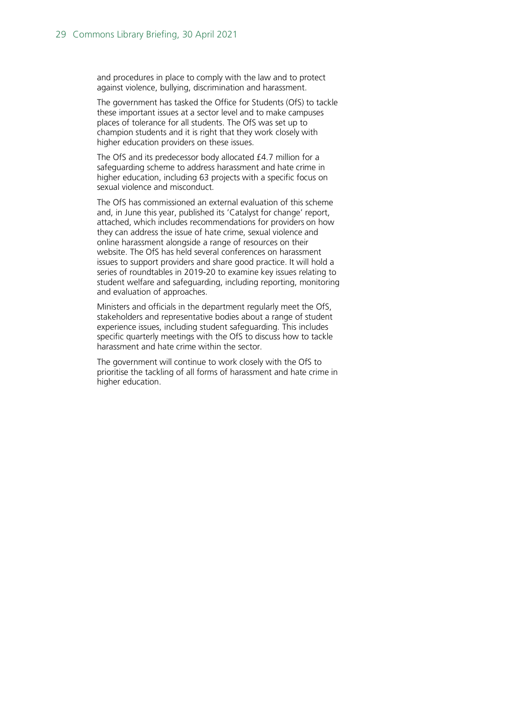and procedures in place to comply with the law and to protect against violence, bullying, discrimination and harassment.

The government has tasked the Office for Students (OfS) to tackle these important issues at a sector level and to make campuses places of tolerance for all students. The OfS was set up to champion students and it is right that they work closely with higher education providers on these issues.

The OfS and its predecessor body allocated £4.7 million for a safeguarding scheme to address harassment and hate crime in higher education, including 63 projects with a specific focus on sexual violence and misconduct.

The OfS has commissioned an external evaluation of this scheme and, in June this year, published its 'Catalyst for change' report, attached, which includes recommendations for providers on how they can address the issue of hate crime, sexual violence and online harassment alongside a range of resources on their website. The OfS has held several conferences on harassment issues to support providers and share good practice. It will hold a series of roundtables in 2019-20 to examine key issues relating to student welfare and safeguarding, including reporting, monitoring and evaluation of approaches.

Ministers and officials in the department regularly meet the OfS, stakeholders and representative bodies about a range of student experience issues, including student safeguarding. This includes specific quarterly meetings with the OfS to discuss how to tackle harassment and hate crime within the sector.

The government will continue to work closely with the OfS to prioritise the tackling of all forms of harassment and hate crime in higher education.